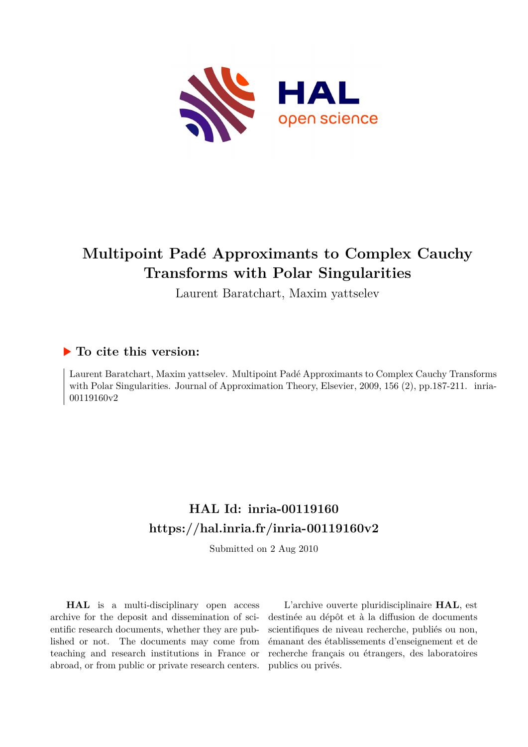

# **Multipoint Padé Approximants to Complex Cauchy Transforms with Polar Singularities**

Laurent Baratchart, Maxim yattselev

### **To cite this version:**

Laurent Baratchart, Maxim yattselev. Multipoint Padé Approximants to Complex Cauchy Transforms with Polar Singularities. Journal of Approximation Theory, Elsevier, 2009, 156  $(2)$ , pp.187-211. inria-00119160v2

## **HAL Id: inria-00119160 <https://hal.inria.fr/inria-00119160v2>**

Submitted on 2 Aug 2010

**HAL** is a multi-disciplinary open access archive for the deposit and dissemination of scientific research documents, whether they are published or not. The documents may come from teaching and research institutions in France or abroad, or from public or private research centers.

L'archive ouverte pluridisciplinaire **HAL**, est destinée au dépôt et à la diffusion de documents scientifiques de niveau recherche, publiés ou non, émanant des établissements d'enseignement et de recherche français ou étrangers, des laboratoires publics ou privés.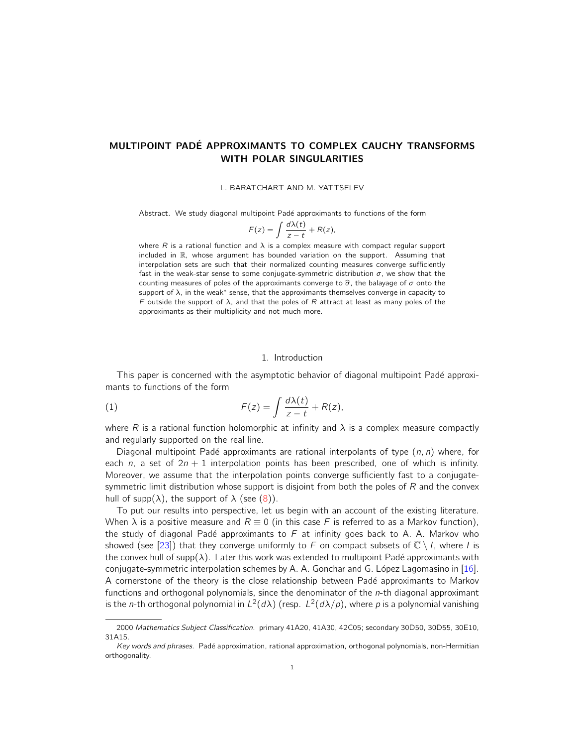### MULTIPOINT PADÉ APPROXIMANTS TO COMPLEX CAUCHY TRANSFORMS WITH POLAR SINGULARITIES

L. BARATCHART AND M. YATTSELEV

Abstract. We study diagonal multipoint Padé approximants to functions of the form

$$
F(z) = \int \frac{d\lambda(t)}{z - t} + R(z),
$$

where R is a rational function and  $\lambda$  is a complex measure with compact regular support included in R, whose argument has bounded variation on the support. Assuming that interpolation sets are such that their normalized counting measures converge sufficiently fast in the weak-star sense to some conjugate-symmetric distribution  $\sigma$ , we show that the counting measures of poles of the approximants converge to  $\hat{\sigma}$ , the balayage of  $\sigma$  onto the support of  $\lambda$ , in the weak<sup>\*</sup> sense, that the approximants themselves converge in capacity to F outside the support of  $\lambda$ , and that the poles of R attract at least as many poles of the approximants as their multiplicity and not much more.

#### 1. Introduction

This paper is concerned with the asymptotic behavior of diagonal multipoint Padé approximants to functions of the form

(1) 
$$
F(z) = \int \frac{d\lambda(t)}{z - t} + R(z),
$$

where R is a rational function holomorphic at infinity and  $\lambda$  is a complex measure compactly and regularly supported on the real line.

Diagonal multipoint Padé approximants are rational interpolants of type  $(n, n)$  where, for each n, a set of  $2n + 1$  interpolation points has been prescribed, one of which is infinity. Moreover, we assume that the interpolation points converge sufficiently fast to a conjugatesymmetric limit distribution whose support is disjoint from both the poles of  $R$  and the convex hull of supp( $\lambda$ ), the support of  $\lambda$  (see (8)).

To put our results into perspective, let us begin with an account of the existing literature. When  $\lambda$  is a positive measure and  $R \equiv 0$  (in this case F is referred to as a Markov function), the study of diagonal Padé approximants to  $F$  at infinity goes back to A. A. Markov who showed (see [23]) that they converge uniformly to F on compact subsets of  $\overline{\mathbb{C}} \setminus I$ , where I is the convex hull of supp( $\lambda$ ). Later this work was extended to multipoint Padé approximants with conjugate-symmetric interpolation schemes by A. A. Gonchar and G. López Lagomasino in  $[16]$ . A cornerstone of the theory is the close relationship between Padé approximants to Markov functions and orthogonal polynomials, since the denominator of the n-th diagonal approximant is the *n*-th orthogonal polynomial in  $L^2(d\lambda)$  (resp.  $L^2(d\lambda/p)$ , where p is a polynomial vanishing

<sup>2000</sup> Mathematics Subject Classification. primary 41A20, 41A30, 42C05; secondary 30D50, 30D55, 30E10, 31A15.

Key words and phrases. Padé approximation, rational approximation, orthogonal polynomials, non-Hermitian orthogonality.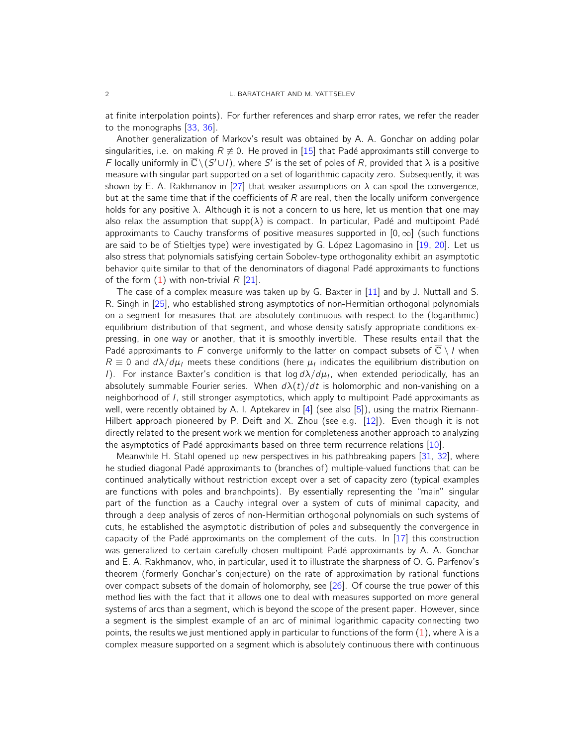at finite interpolation points). For further references and sharp error rates, we refer the reader to the monographs [33, 36].

Another generalization of Markov's result was obtained by A. A. Gonchar on adding polar singularities, i.e. on making  $R \neq 0$ . He proved in [15] that Padé approximants still converge to F locally uniformly in  $\overline{\mathbb{C}} \setminus (S' \cup I)$ , where S' is the set of poles of R, provided that  $\lambda$  is a positive measure with singular part supported on a set of logarithmic capacity zero. Subsequently, it was shown by E. A. Rakhmanov in [27] that weaker assumptions on  $\lambda$  can spoil the convergence, but at the same time that if the coefficients of  $R$  are real, then the locally uniform convergence holds for any positive  $\lambda$ . Although it is not a concern to us here, let us mention that one may also relax the assumption that supp( $\lambda$ ) is compact. In particular, Padé and multipoint Padé approximants to Cauchy transforms of positive measures supported in  $[0, \infty]$  (such functions are said to be of Stieltjes type) were investigated by G. López Lagomasino in [19, 20]. Let us also stress that polynomials satisfying certain Sobolev-type orthogonality exhibit an asymptotic behavior quite similar to that of the denominators of diagonal Padé approximants to functions of the form  $(1)$  with non-trivial R  $[21]$ .

The case of a complex measure was taken up by G. Baxter in [11] and by J. Nuttall and S. R. Singh in [25], who established strong asymptotics of non-Hermitian orthogonal polynomials on a segment for measures that are absolutely continuous with respect to the (logarithmic) equilibrium distribution of that segment, and whose density satisfy appropriate conditions expressing, in one way or another, that it is smoothly invertible. These results entail that the Padé approximants to F converge uniformly to the latter on compact subsets of  $\overline{\mathbb{C}} \setminus I$  when  $R \equiv 0$  and  $d\lambda/d\mu_I$  meets these conditions (here  $\mu_I$  indicates the equilibrium distribution on I). For instance Baxter's condition is that log  $d\lambda/d\mu_I$ , when extended periodically, has an absolutely summable Fourier series. When  $d\lambda(t)/dt$  is holomorphic and non-vanishing on a neighborhood of I, still stronger asymptotics, which apply to multipoint Padé approximants as well, were recently obtained by A. I. Aptekarev in [4] (see also [5]), using the matrix Riemann-Hilbert approach pioneered by P. Deift and X. Zhou (see e.g. [12]). Even though it is not directly related to the present work we mention for completeness another approach to analyzing the asymptotics of Padé approximants based on three term recurrence relations [10].

Meanwhile H. Stahl opened up new perspectives in his pathbreaking papers [31, 32], where he studied diagonal Padé approximants to (branches of) multiple-valued functions that can be continued analytically without restriction except over a set of capacity zero (typical examples are functions with poles and branchpoints). By essentially representing the "main" singular part of the function as a Cauchy integral over a system of cuts of minimal capacity, and through a deep analysis of zeros of non-Hermitian orthogonal polynomials on such systems of cuts, he established the asymptotic distribution of poles and subsequently the convergence in capacity of the Padé approximants on the complement of the cuts. In  $[17]$  this construction was generalized to certain carefully chosen multipoint Padé approximants by A. A. Gonchar and E. A. Rakhmanov, who, in particular, used it to illustrate the sharpness of O. G. Parfenov's theorem (formerly Gonchar's conjecture) on the rate of approximation by rational functions over compact subsets of the domain of holomorphy, see [26]. Of course the true power of this method lies with the fact that it allows one to deal with measures supported on more general systems of arcs than a segment, which is beyond the scope of the present paper. However, since a segment is the simplest example of an arc of minimal logarithmic capacity connecting two points, the results we just mentioned apply in particular to functions of the form  $(1)$ , where  $\lambda$  is a complex measure supported on a segment which is absolutely continuous there with continuous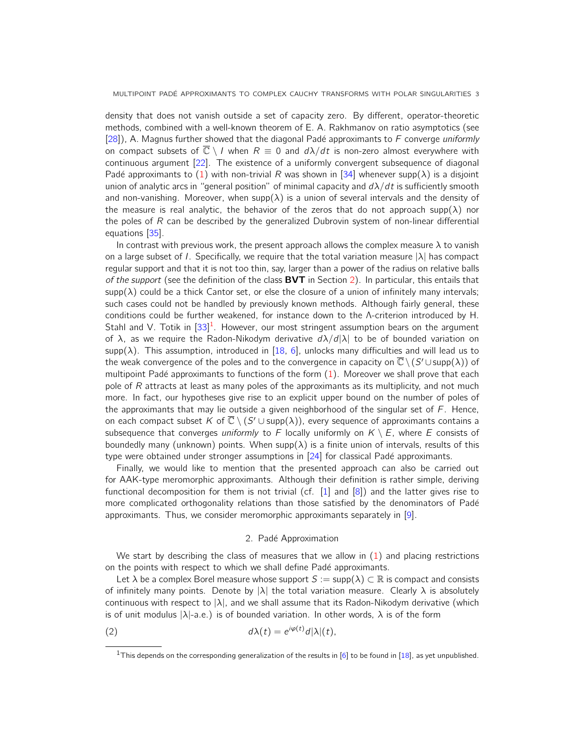density that does not vanish outside a set of capacity zero. By different, operator-theoretic methods, combined with a well-known theorem of E. A. Rakhmanov on ratio asymptotics (see [28]), A. Magnus further showed that the diagonal Padé approximants to F converge uniformly on compact subsets of  $\overline{\mathbb{C}} \setminus I$  when  $R \equiv 0$  and  $d\lambda/dt$  is non-zero almost everywhere with continuous argument [22]. The existence of a uniformly convergent subsequence of diagonal Padé approximants to (1) with non-trivial R was shown in [34] whenever supp( $\lambda$ ) is a disjoint union of analytic arcs in "general position" of minimal capacity and  $d\lambda/dt$  is sufficiently smooth and non-vanishing. Moreover, when supp( $\lambda$ ) is a union of several intervals and the density of the measure is real analytic, the behavior of the zeros that do not approach supp( $\lambda$ ) nor the poles of R can be described by the generalized Dubrovin system of non-linear differential equations [35].

In contrast with previous work, the present approach allows the complex measure  $\lambda$  to vanish on a large subset of I. Specifically, we require that the total variation measure  $|\lambda|$  has compact regular support and that it is not too thin, say, larger than a power of the radius on relative balls of the support (see the definition of the class  $BVT$  in Section 2). In particular, this entails that  $\text{supp}(\lambda)$  could be a thick Cantor set, or else the closure of a union of infinitely many intervals; such cases could not be handled by previously known methods. Although fairly general, these conditions could be further weakened, for instance down to the Λ-criterion introduced by H. Stahl and V. Totik in  $[33]^{1}$ . However, our most stringent assumption bears on the argument of  $\lambda$ , as we require the Radon-Nikodym derivative  $d\lambda/d|\lambda|$  to be of bounded variation on  $supp(\lambda)$ . This assumption, introduced in [18, 6], unlocks many difficulties and will lead us to the weak convergence of the poles and to the convergence in capacity on  $\overline{\mathbb{C}} \setminus (S' \cup {\operatorname{supp}}(\lambda))$  of multipoint Padé approximants to functions of the form  $(1)$ . Moreover we shall prove that each pole of  $R$  attracts at least as many poles of the approximants as its multiplicity, and not much more. In fact, our hypotheses give rise to an explicit upper bound on the number of poles of the approximants that may lie outside a given neighborhood of the singular set of  $F$ . Hence, on each compact subset K of  $\overline{\mathbb{C}} \setminus (S' \cup \mathsf{supp}(\lambda))$ , every sequence of approximants contains a subsequence that converges uniformly to F locally uniformly on  $K \setminus E$ , where E consists of boundedly many (unknown) points. When supp $(\lambda)$  is a finite union of intervals, results of this type were obtained under stronger assumptions in  $[24]$  for classical Padé approximants.

Finally, we would like to mention that the presented approach can also be carried out for AAK-type meromorphic approximants. Although their definition is rather simple, deriving functional decomposition for them is not trivial (cf. [1] and [8]) and the latter gives rise to more complicated orthogonality relations than those satisfied by the denominators of Padé approximants. Thus, we consider meromorphic approximants separately in [9].

#### 2. Padé Approximation

We start by describing the class of measures that we allow in  $(1)$  and placing restrictions on the points with respect to which we shall define Padé approximants.

Let  $\lambda$  be a complex Borel measure whose support  $S := \text{supp}(\lambda) \subset \mathbb{R}$  is compact and consists of infinitely many points. Denote by  $|\lambda|$  the total variation measure. Clearly  $\lambda$  is absolutely continuous with respect to  $|\lambda|$ , and we shall assume that its Radon-Nikodym derivative (which is of unit modulus  $|\lambda|$ -a.e.) is of bounded variation. In other words,  $\lambda$  is of the form

(2) 
$$
d\lambda(t) = e^{i\varphi(t)}d|\lambda|(t),
$$

<sup>&</sup>lt;sup>1</sup>This depends on the corresponding generalization of the results in [6] to be found in [18], as yet unpublished.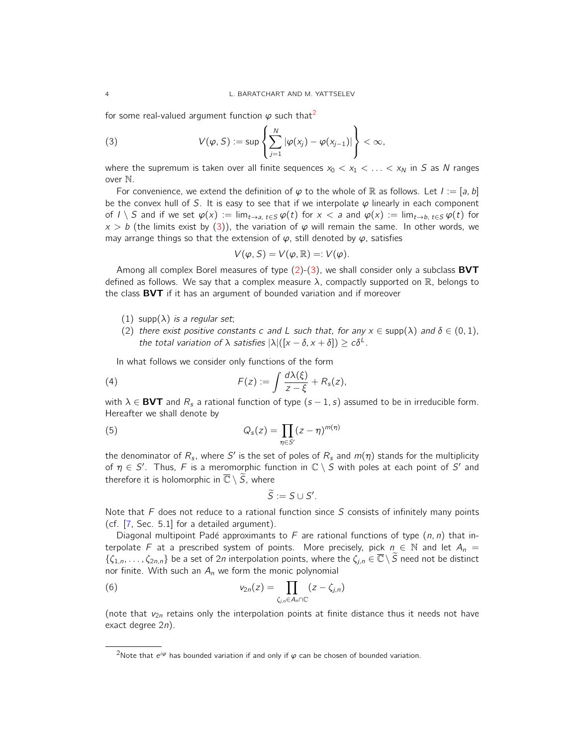for some real-valued argument function  $\varphi$  such that<sup>2</sup>

(3) 
$$
V(\varphi, S) := \sup \left\{ \sum_{j=1}^N |\varphi(x_j) - \varphi(x_{j-1})| \right\} < \infty,
$$

where the supremum is taken over all finite sequences  $x_0 < x_1 < \ldots < x_N$  in S as N ranges over N.

For convenience, we extend the definition of  $\varphi$  to the whole of R as follows. Let  $I := [a, b]$ be the convex hull of S. It is easy to see that if we interpolate  $\varphi$  linearly in each component of  $I \setminus S$  and if we set  $\varphi(x) := \lim_{t \to a, t \in S} \varphi(t)$  for  $x < a$  and  $\varphi(x) := \lim_{t \to b, t \in S} \varphi(t)$  for  $x > b$  (the limits exist by (3)), the variation of  $\varphi$  will remain the same. In other words, we may arrange things so that the extension of  $\varphi$ , still denoted by  $\varphi$ , satisfies

$$
V(\varphi, S) = V(\varphi, \mathbb{R}) =: V(\varphi).
$$

Among all complex Borel measures of type  $(2)-(3)$ , we shall consider only a subclass **BVT** defined as follows. We say that a complex measure  $\lambda$ , compactly supported on  $\mathbb R$ , belongs to the class **BVT** if it has an argument of bounded variation and if moreover

- (1) supp $(\lambda)$  is a regular set;
- (2) there exist positive constants c and L such that, for any  $x \in \text{supp}(\lambda)$  and  $\delta \in (0,1)$ , the total variation of  $\lambda$  satisfies  $|\lambda|([x - \delta, x + \delta]) \geq c\delta^{\perp}$ .

In what follows we consider only functions of the form

(4) 
$$
F(z) := \int \frac{d\lambda(\xi)}{z - \xi} + R_s(z),
$$

with  $\lambda \in$  **BVT** and  $R_s$  a rational function of type  $(s - 1, s)$  assumed to be in irreducible form. Hereafter we shall denote by

(5) 
$$
Q_s(z) = \prod_{\eta \in S'} (z - \eta)^{m(\eta)}
$$

the denominator of  $R_s$ , where  $S'$  is the set of poles of  $R_s$  and  $m(\eta)$  stands for the multiplicity of  $\eta \in S'$ . Thus, F is a meromorphic function in  $\mathbb{C} \setminus S$  with poles at each point of S' and therefore it is holomorphic in  $\overline{\mathbb{C}} \setminus \widetilde{S}$ , where

$$
\widetilde{S}:=S\cup S'.
$$

Note that  $F$  does not reduce to a rational function since  $S$  consists of infinitely many points (cf. [7, Sec. 5.1] for a detailed argument).

Diagonal multipoint Padé approximants to F are rational functions of type  $(n, n)$  that interpolate F at a prescribed system of points. More precisely, pick  $n \in \mathbb{N}$  and let  $A_n =$  $\{\zeta_{1,n},\ldots,\zeta_{2n,n}\}$  be a set of 2n interpolation points, where the  $\zeta_{j,n}\in\overline{\mathbb{C}}\setminus\widetilde{S}$  need not be distinct nor finite. With such an  $A_n$  we form the monic polynomial

(6) 
$$
v_{2n}(z) = \prod_{\zeta_{j,n}\in A_n\cap\mathbb{C}}(z-\zeta_{j,n})
$$

(note that  $v_{2n}$  retains only the interpolation points at finite distance thus it needs not have exact degree 2n).

<sup>&</sup>lt;sup>2</sup>Note that  $e^{i\varphi}$  has bounded variation if and only if  $\varphi$  can be chosen of bounded variation.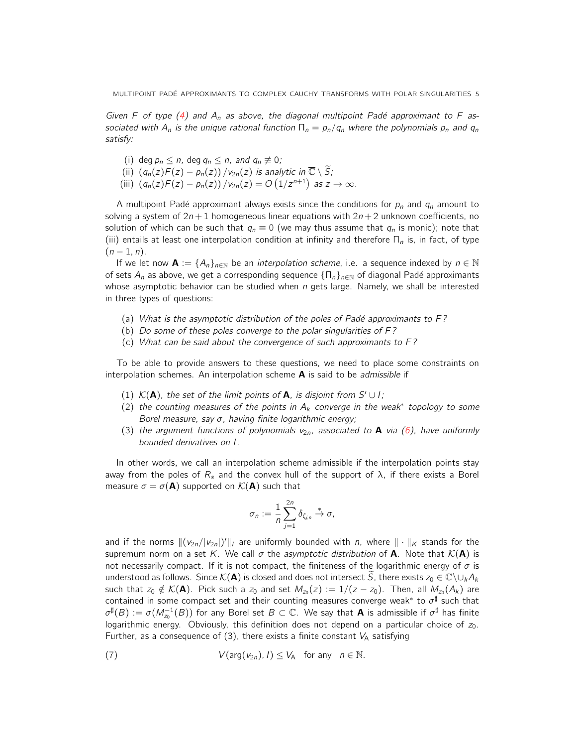MULTIPOINT PADÉ APPROXIMANTS TO COMPLEX CAUCHY TRANSFORMS WITH POLAR SINGULARITIES 5

Given F of type (4) and  $A_n$  as above, the diagonal multipoint Padé approximant to F associated with A<sub>n</sub> is the unique rational function  $\Gamma_n = p_n/q_n$  where the polynomials  $p_n$  and  $q_n$ satisfy:

- (i) deg  $p_n \le n$ , deg  $q_n \le n$ , and  $q_n \not\equiv 0$ ;
- (ii)  $(q_n(z)F(z) p_n(z)) / v_{2n}(z)$  is analytic in  $\overline{\mathbb{C}} \setminus \widetilde{S}$ ;
- (iii)  $(q_n(z)F(z) p_n(z)) / v_{2n}(z) = O(1/z^{n+1})$  as  $z \to \infty$ .

A multipoint Padé approximant always exists since the conditions for  $p_n$  and  $q_n$  amount to solving a system of  $2n+1$  homogeneous linear equations with  $2n+2$  unknown coefficients, no solution of which can be such that  $q_n \equiv 0$  (we may thus assume that  $q_n$  is monic); note that (iii) entails at least one interpolation condition at infinity and therefore  $\Pi_n$  is, in fact, of type  $(n-1, n)$ .

If we let now  $\mathbf{A} := \{A_n\}_{n \in \mathbb{N}}$  be an *interpolation scheme*, i.e. a sequence indexed by  $n \in \mathbb{N}$ of sets  $A_n$  as above, we get a corresponding sequence  $\{\Pi_n\}_{n\in\mathbb{N}}$  of diagonal Padé approximants whose asymptotic behavior can be studied when  $n$  gets large. Namely, we shall be interested in three types of questions:

- (a) What is the asymptotic distribution of the poles of Padé approximants to  $F$ ?
- (b) Do some of these poles converge to the polar singularities of  $F$ ?
- (c) What can be said about the convergence of such approximants to F ?

To be able to provide answers to these questions, we need to place some constraints on interpolation schemes. An interpolation scheme  $A$  is said to be *admissible* if

- (1)  $K(A)$ , the set of the limit points of A, is disjoint from S' ∪ l;
- (2) the counting measures of the points in  $A_k$  converge in the weak\* topology to some Borel measure, say  $\sigma$ , having finite logarithmic energy;
- (3) the argument functions of polynomials  $v_{2n}$ , associated to **A** via (6), have uniformly bounded derivatives on I.

In other words, we call an interpolation scheme admissible if the interpolation points stay away from the poles of  $R_s$  and the convex hull of the support of  $\lambda$ , if there exists a Borel measure  $\sigma = \sigma(\mathbf{A})$  supported on  $\mathcal{K}(\mathbf{A})$  such that

$$
\sigma_n := \frac{1}{n} \sum_{j=1}^{2n} \delta_{\zeta_{j,n}} \stackrel{*}{\to} \sigma,
$$

and if the norms  $\|(\nu_{2n}/|\nu_{2n}|)' \|$ , are uniformly bounded with n, where  $\| \cdot \|_{\kappa}$  stands for the supremum norm on a set K. We call  $\sigma$  the asymptotic distribution of **A**. Note that  $\mathcal{K}(\mathbf{A})$  is not necessarily compact. If it is not compact, the finiteness of the logarithmic energy of  $\sigma$  is understood as follows. Since  $\mathcal{K}(\mathbf{A})$  is closed and does not intersect S, there exists  $z_0 \in \mathbb{C}\setminus\cup_k A_k$ such that  $z_0\notin \mathcal{K}(\mathbf{A})$ . Pick such a  $z_0$  and set  $M_{z_0}(z)\,:=\,1/(z-z_0).$  Then, all  $M_{z_0}(A_k)$  are contained in some compact set and their counting measures converge weak\* to  $\sigma^{\sharp}$  such that  $\sigma^\sharp(B)\coloneqq\sigma(M_{z_0}^{-1}(B))$  for any Borel set  $B\subset\mathbb{C}.$  We say that  ${\bf A}$  is admissible if  $\sigma^\sharp$  has finite logarithmic energy. Obviously, this definition does not depend on a particular choice of  $z_0$ . Further, as a consequence of (3), there exists a finite constant  $V_A$  satisfying

(7) 
$$
V(\arg(v_{2n}), I) \leq V_A
$$
 for any  $n \in \mathbb{N}$ .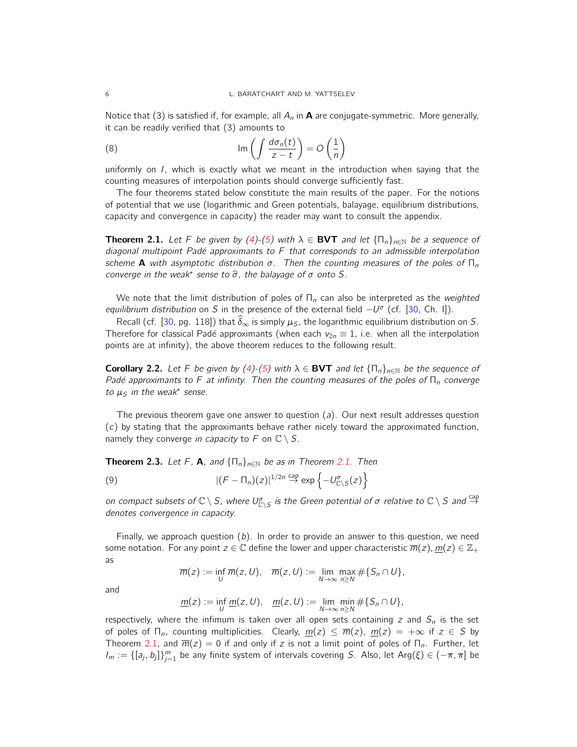Notice that (3) is satisfied if, for example, all  $A_n$  in **A** are conjugate-symmetric. More generally, it can be readily verified that (3) amounts to

(8) 
$$
\operatorname{Im}\left(\int \frac{d\sigma_n(t)}{z-t}\right) = O\left(\frac{1}{n}\right)
$$

uniformly on I, which is exactly what we meant in the introduction when saying that the counting measures of interpolation points should converge sufficiently fast.

The four theorems stated below constitute the main results of the paper. For the notions of potential that we use (logarithmic and Green potentials, balayage, equilibrium distributions, capacity and convergence in capacity) the reader may want to consult the appendix.

**Theorem 2.1.** Let F be given by (4)-(5) with  $\lambda \in$  **BVT** and let  $\{\Pi_n\}_{n\in\mathbb{N}}$  be a sequence of diagonal multipoint Padé approximants to  $F$  that corresponds to an admissible interpolation scheme **A** with asymptotic distribution  $\sigma$ . Then the counting measures of the poles of  $\Pi_n$ converge in the weak<sup>\*</sup> sense to  $\widehat{\sigma}$ , the balayage of  $\sigma$  onto S.

We note that the limit distribution of poles of  $\Pi_n$  can also be interpreted as the weighted equilibrium distribution on S in the presence of the external field  $-U^{\sigma}$  (cf. [30, Ch. I]).

Recall (cf. [30, pg. 118]) that  $\hat{\delta}_{\infty}$  is simply  $\mu_S$ , the logarithmic equilibrium distribution on S. Therefore for classical Padé approximants (when each  $v_{2n} \equiv 1$ , i.e. when all the interpolation points are at infinity), the above theorem reduces to the following result.

**Corollary 2.2.** Let F be given by (4)-(5) with  $\lambda \in BVT$  and let  $\{\Pi_n\}_{n\in\mathbb{N}}$  be the sequence of Padé approximants to F at infinity. Then the counting measures of the poles of  $\Pi_n$  converge to  $\mu_S$  in the weak<sup>\*</sup> sense.

The previous theorem gave one answer to question  $(a)$ . Our next result addresses question (c) by stating that the approximants behave rather nicely toward the approximated function, namely they converge in capacity to F on  $\mathbb{C} \setminus S$ .

**Theorem 2.3.** Let F, **A**, and  $\{\Pi_n\}_{n\in\mathbb{N}}$  be as in Theorem 2.1. Then

(9) 
$$
|(F - \Pi_n)(z)|^{1/2n} \stackrel{\text{cap}}{\to} \exp\left\{-U_{\mathbb{C}\backslash S}^{\sigma}(z)\right\}
$$

on compact subsets of  $\mathbb{C}\setminus S$ , where  $U^\sigma_{\mathbb{C}\setminus S}$  is the Green potential of  $\sigma$  relative to  $\mathbb{C}\setminus S$  and  $\stackrel{\text{cap}}{\to}$ denotes convergence in capacity.

Finally, we approach question  $(b)$ . In order to provide an answer to this question, we need some notation. For any point  $z \in \mathbb{C}$  define the lower and upper characteristic  $\overline{m}(z)$ ,  $m(z) \in \mathbb{Z}_+$ as

$$
\overline{m}(z) := \inf_{U} \overline{m}(z, U), \quad \overline{m}(z, U) := \lim_{N \to \infty} \max_{n \geq N} \# \{ S_n \cap U \},
$$

and

$$
\underline{m}(z) := \inf_{U} \underline{m}(z, U), \quad \underline{m}(z, U) := \lim_{N \to \infty} \min_{n \geq N} \# \{ S_n \cap U \},
$$

respectively, where the infimum is taken over all open sets containing z and  $S_n$  is the set of poles of  $\Pi_n$ , counting multiplicities. Clearly,  $m(z) \leq \overline{m}(z)$ ,  $m(z) = +\infty$  if  $z \in S$  by Theorem 2.1, and  $\overline{m}(z) = 0$  if and only if z is not a limit point of poles of  $\Pi_n$ . Further, let  $I_m := \{[a_j, b_j]\}_{j=1}^m$  be any finite system of intervals covering S. Also, let Arg $(\xi) \in (-\pi, \pi]$  be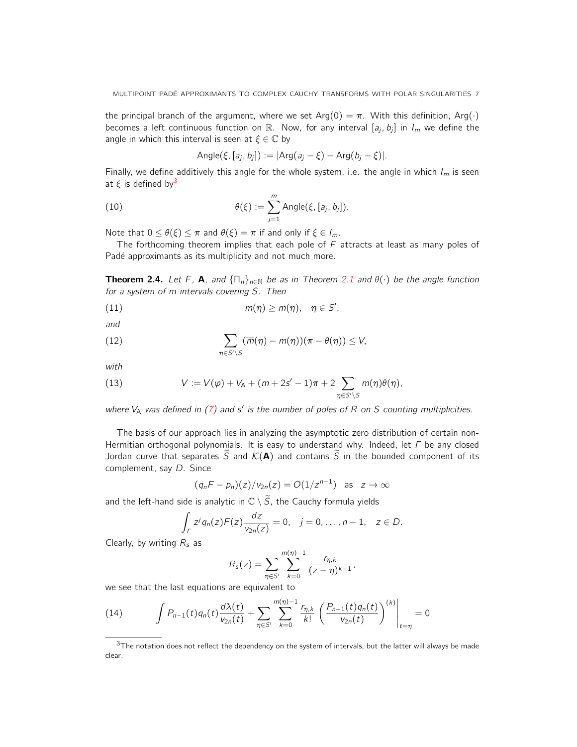the principal branch of the argument, where we set Arg(0) =  $\pi$ . With this definition, Arg( $\cdot$ ) becomes a left continuous function on  $\mathbb{R}$ . Now, for any interval  $[a_j, b_j]$  in  $I_m$  we define the angle in which this interval is seen at  $\xi \in \mathbb{C}$  by

Angle(
$$
\xi
$$
, [ $a_j$ ,  $b_j$ ]) := |Arg( $a_j - \xi$ ) - Arg( $b_j - \xi$ )|.

Finally, we define additively this angle for the whole system, i.e. the angle in which  $I_m$  is seen at  $\xi$  is defined by<sup>3</sup>

(10) 
$$
\theta(\xi) := \sum_{j=1}^m \text{Angle}(\xi, [a_j, b_j]).
$$

Note that  $0 \le \theta(\xi) \le \pi$  and  $\theta(\xi) = \pi$  if and only if  $\xi \in I_m$ .

The forthcoming theorem implies that each pole of  $F$  attracts at least as many poles of Padé approximants as its multiplicity and not much more.

**Theorem 2.4.** Let F, **A**, and  $\{\Pi_n\}_{n\in\mathbb{N}}$  be as in Theorem 2.1 and  $\theta(\cdot)$  be the angle function for a system of m intervals covering S. Then

(11)  $m(\eta) \ge m(\eta), \quad \eta \in S',$ 

and

(12) 
$$
\sum_{\eta \in S' \backslash S} (\overline{m}(\eta) - m(\eta))(\pi - \theta(\eta)) \leq V,
$$

with

(13) 
$$
V := V(\varphi) + V_A + (m + 2s' - 1)\pi + 2 \sum_{\eta \in S' \setminus S} m(\eta) \theta(\eta),
$$

where  $V_A$  was defined in (7) and s' is the number of poles of R on S counting multiplicities.

The basis of our approach lies in analyzing the asymptotic zero distribution of certain non-Hermitian orthogonal polynomials. It is easy to understand why. Indeed, let Γ be any closed Jordan curve that separates  $\widetilde{S}$  and  $\mathcal{K}(A)$  and contains  $\widetilde{S}$  in the bounded component of its complement, say D. Since

$$
(q_nF - p_n)(z)/v_{2n}(z) = O(1/z^{n+1}) \text{ as } z \to \infty
$$

and the left-hand side is analytic in  $\mathbb{C} \setminus \widetilde{S}$ , the Cauchy formula yields

$$
\int_{\Gamma} z^j q_n(z) F(z) \frac{dz}{v_{2n}(z)} = 0, \quad j = 0, \ldots, n-1, \quad z \in D.
$$

Clearly, by writing  $R_s$  as

$$
R_s(z) = \sum_{\eta \in S'} \sum_{k=0}^{m(\eta)-1} \frac{r_{\eta,k}}{(z-\eta)^{k+1}},
$$

we see that the last equations are equivalent to

(14) 
$$
\int P_{n-1}(t)q_n(t)\frac{d\lambda(t)}{v_{2n}(t)} + \sum_{\eta \in S'} \sum_{k=0}^{m(\eta)-1} \frac{r_{\eta,k}}{k!} \left(\frac{P_{n-1}(t)q_n(t)}{v_{2n}(t)}\right)^{(k)}\bigg|_{t=\eta} = 0
$$

 $3$ The notation does not reflect the dependency on the system of intervals, but the latter will always be made clear.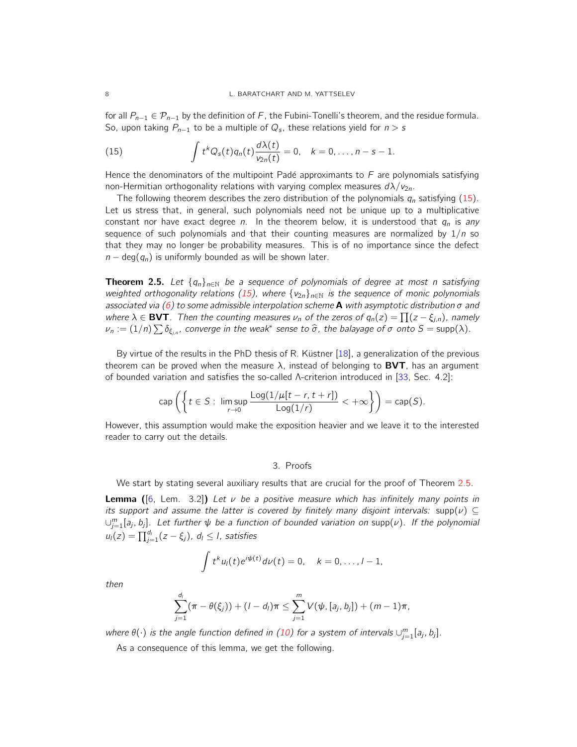for all  $P_{n-1}$  ∈  $\mathcal{P}_{n-1}$  by the definition of F, the Fubini-Tonelli's theorem, and the residue formula. So, upon taking  $P_{n-1}$  to be a multiple of  $Q_s$ , these relations yield for  $n > s$ 

(15) 
$$
\int t^k Q_s(t) q_n(t) \frac{d\lambda(t)}{\nu_{2n}(t)} = 0, \quad k = 0, \ldots, n - s - 1.
$$

Hence the denominators of the multipoint Padé approximants to  $F$  are polynomials satisfying non-Hermitian orthogonality relations with varying complex measures  $d\lambda/\nu_{2n}$ .

The following theorem describes the zero distribution of the polynomials  $q_n$  satisfying (15). Let us stress that, in general, such polynomials need not be unique up to a multiplicative constant nor have exact degree n. In the theorem below, it is understood that  $q_n$  is any sequence of such polynomials and that their counting measures are normalized by  $1/n$  so that they may no longer be probability measures. This is of no importance since the defect  $n - \deg(q_n)$  is uniformly bounded as will be shown later.

**Theorem 2.5.** Let  $\{q_n\}_{n\in\mathbb{N}}$  be a sequence of polynomials of degree at most n satisfying weighted orthogonality relations (15), where  $\{v_{2n}\}_{n\in\mathbb{N}}$  is the sequence of monic polynomials associated via (6) to some admissible interpolation scheme **A** with asymptotic distribution  $\sigma$  and where  $\lambda \in$  **BVT**. Then the counting measures  $\nu_n$  of the zeros of  $q_n(z) = \prod (z - \xi_{j,n})$ , namely  $\nu_n := (1/n) \sum \delta_{\xi_{j,n}}$ , converge in the weak $^*$  sense to  $\widehat{\sigma}$ , the balayage of  $\sigma$  onto  $S = \text{supp}(\lambda)$ .

By virtue of the results in the PhD thesis of R. Küstner  $[18]$ , a generalization of the previous theorem can be proved when the measure  $\lambda$ , instead of belonging to **BVT**, has an argument of bounded variation and satisfies the so-called Λ-criterion introduced in [33, Sec. 4.2]:

$$
\operatorname{cap}\left(\left\{t\in S:\ \limsup_{r\to 0}\frac{\operatorname{Log}(1/\mu[t-r,t+r])}{\operatorname{Log}(1/r)}<+\infty\right\}\right)=\operatorname{cap}(S).
$$

However, this assumption would make the exposition heavier and we leave it to the interested reader to carry out the details.

#### 3. Proofs

We start by stating several auxiliary results that are crucial for the proof of Theorem 2.5.

**Lemma** ([6, Lem. 3.2]) Let  $\nu$  be a positive measure which has infinitely many points in its support and assume the latter is covered by finitely many disjoint intervals: supp( $\nu$ ) ⊆  $\cup_{j=1}^m [a_j,b_j]$ . Let further  $\psi$  be a function of bounded variation on supp $(\nu)$ . If the polynomial  $u_l(z) = \prod_{j=1}^{d_l} (z - \xi_j)$ ,  $d_l \leq l$ , satisfies

$$
\int t^k u_l(t) e^{i\psi(t)} d\nu(t) = 0, \quad k = 0, \ldots, l-1,
$$

then

$$
\sum_{j=1}^{d_i} (\pi - \theta(\xi_j)) + (l - d_i)\pi \leq \sum_{j=1}^m V(\psi, [a_j, b_j]) + (m - 1)\pi,
$$

where  $\theta(\cdot)$  is the angle function defined in (10) for a system of intervals  $\cup_{j=1}^m [a_j, b_j]$ .

As a consequence of this lemma, we get the following.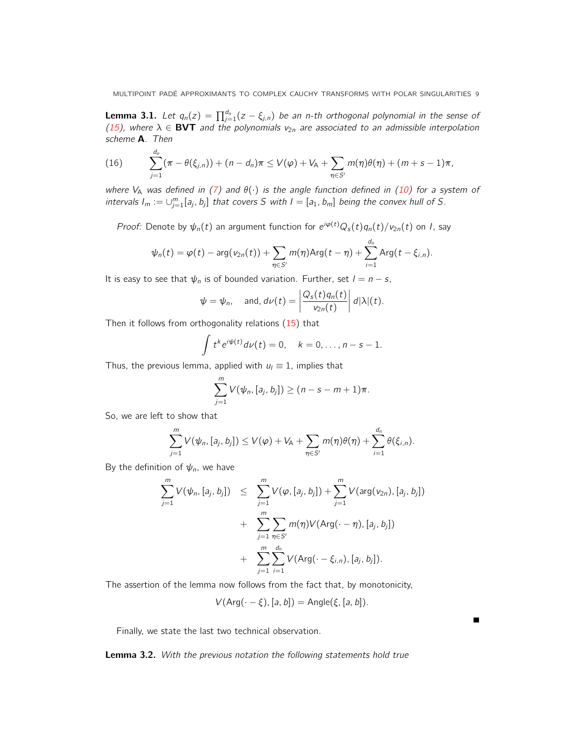**Lemma 3.1.** Let  $q_n(z) = \prod_{j=1}^{d_n} (z - \xi_{j,n})$  be an n-th orthogonal polynomial in the sense of (15), where  $\lambda \in$  BVT and the polynomials  $v_{2n}$  are associated to an admissible interpolation scheme **A**. Then

(16) 
$$
\sum_{j=1}^{d_n} (\pi - \theta(\xi_{j,n})) + (n - d_n)\pi \le V(\varphi) + V_A + \sum_{\eta \in S'} m(\eta)\theta(\eta) + (m + s - 1)\pi,
$$

where V<sub>A</sub> was defined in (7) and  $\theta(\cdot)$  is the angle function defined in (10) for a system of intervals  $I_m := \bigcup_{j=1}^m [a_j, b_j]$  that covers S with  $I = [a_1, b_m]$  being the convex hull of S.

*Proof:* Denote by  $\psi_n(t)$  an argument function for  $e^{i\varphi(t)}Q_s(t)q_n(t)/\psi_{2n}(t)$  on *I*, say

$$
\psi_n(t) = \varphi(t) - \arg(\nu_{2n}(t)) + \sum_{\eta \in S'} m(\eta) \text{Arg}(t - \eta) + \sum_{i=1}^{d_n} \text{Arg}(t - \xi_{i,n}).
$$

It is easy to see that  $\psi_n$  is of bounded variation. Further, set  $l = n - s$ ,

$$
\psi = \psi_n
$$
, and,  $d\nu(t) = \left| \frac{Q_s(t)q_n(t)}{v_{2n}(t)} \right| d|\lambda|(t)$ .

Then it follows from orthogonality relations (15) that

$$
\int t^k e^{i\psi(t)} d\nu(t) = 0, \quad k = 0, \ldots, n - s - 1.
$$

Thus, the previous lemma, applied with  $u_l \equiv 1$ , implies that

$$
\sum_{j=1}^m V(\psi_n, [a_j, b_j]) \ge (n - s - m + 1)\pi.
$$

So, we are left to show that

$$
\sum_{j=1}^m V(\psi_n, [a_j, b_j]) \leq V(\varphi) + V_A + \sum_{\eta \in S'} m(\eta) \theta(\eta) + \sum_{i=1}^{d_n} \theta(\xi_{i,n}).
$$

By the definition of  $\psi_n$ , we have

$$
\sum_{j=1}^{m} V(\psi_n, [a_j, b_j]) \leq \sum_{j=1}^{m} V(\varphi, [a_j, b_j]) + \sum_{j=1}^{m} V(\arg(v_{2n}), [a_j, b_j]) + \sum_{j=1}^{m} \sum_{\eta \in S'} m(\eta) V(\text{Arg}(\cdot - \eta), [a_j, b_j]) + \sum_{j=1}^{m} \sum_{i=1}^{d_n} V(\text{Arg}(\cdot - \xi_{i,n}), [a_j, b_j]).
$$

The assertion of the lemma now follows from the fact that, by monotonicity,

$$
V(\text{Arg}(\cdot - \xi), [a, b]) = \text{Angle}(\xi, [a, b]).
$$

Finally, we state the last two technical observation.

Lemma 3.2. With the previous notation the following statements hold true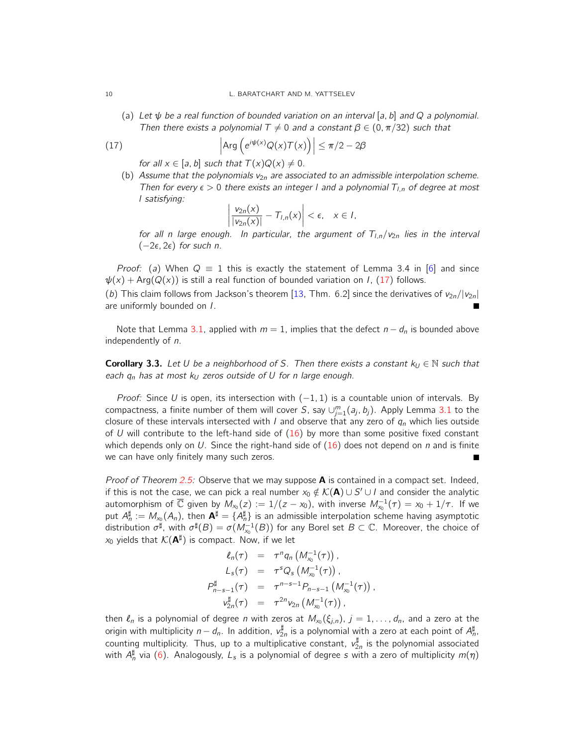(a) Let  $\psi$  be a real function of bounded variation on an interval [a, b] and Q a polynomial. Then there exists a polynomial  $T \neq 0$  and a constant  $\beta \in (0, \pi/32)$  such that

(17) 
$$
\left| \text{Arg} \left( e^{i \psi(x)} Q(x) \mathcal{T}(x) \right) \right| \leq \pi/2 - 2\beta
$$

for all  $x \in [a, b]$  such that  $T(x)Q(x) \neq 0$ .

(b) Assume that the polynomials  $v_{2n}$  are associated to an admissible interpolation scheme. Then for every  $\epsilon > 0$  there exists an integer I and a polynomial  $T_{l,n}$  of degree at most l satisfying:

$$
\left|\frac{v_{2n}(x)}{|v_{2n}(x)|}-T_{l,n}(x)\right|<\epsilon,\quad x\in l,
$$

for all n large enough. In particular, the argument of  $T_{l,n}/v_{2n}$  lies in the interval  $(-2\epsilon, 2\epsilon)$  for such n.

*Proof:* (a) When  $Q \equiv 1$  this is exactly the statement of Lemma 3.4 in [6] and since  $\psi(x) + \text{Arg}(Q(x))$  is still a real function of bounded variation on I, (17) follows.

(b) This claim follows from Jackson's theorem [13, Thm. 6.2] since the derivatives of  $v_{2n}/|v_{2n}|$ are uniformly bounded on I.

Note that Lemma 3.1, applied with  $m = 1$ , implies that the defect  $n - d_n$  is bounded above independently of n.

**Corollary 3.3.** Let U be a neighborhood of S. Then there exists a constant  $k_U \in \mathbb{N}$  such that each  $q_n$  has at most k<sub>U</sub> zeros outside of U for n large enough.

*Proof:* Since U is open, its intersection with  $(-1, 1)$  is a countable union of intervals. By compactness, a finite number of them will cover S, say  $\cup_{j=1}^m (a_j, b_j)$ . Apply Lemma 3.1 to the closure of these intervals intersected with I and observe that any zero of  $q_n$  which lies outside of U will contribute to the left-hand side of  $(16)$  by more than some positive fixed constant which depends only on U. Since the right-hand side of  $(16)$  does not depend on n and is finite we can have only finitely many such zeros.  $\blacksquare$ 

*Proof of Theorem 2.5:* Observe that we may suppose **A** is contained in a compact set. Indeed, if this is not the case, we can pick a real number  $x_0 \notin K({\bf A}) \cup S' \cup I$  and consider the analytic automorphism of  $\overline{\mathbb{C}}$  given by  $M_{x_0}(z) := 1/(z-x_0)$ , with inverse  $M_{x_0}^{-1}(\tau) = x_0 + 1/\tau$ . If we put  $A_n^{\sharp}:=M_{x_0}(A_n)$ , then  ${\bf A}^{\sharp}=\{A_n^{\sharp}\}$  is an admissible interpolation scheme having asymptotic distribution  $\sigma^\sharp$ , with  $\sigma^\sharp(B)=\sigma(M_{x_0}^{-1}(B))$  for any Borel set  $B\subset\mathbb{C}.$  Moreover, the choice of  $x_0$  yields that  $\mathcal{K}(\mathbf{A}^{\sharp})$  is compact. Now, if we let

$$
\ell_n(\tau) = \tau^n q_n \left( M_{x_0}^{-1}(\tau) \right),
$$
\n
$$
L_s(\tau) = \tau^s Q_s \left( M_{x_0}^{-1}(\tau) \right),
$$
\n
$$
P_{n-s-1}^{\sharp}(\tau) = \tau^{n-s-1} P_{n-s-1} \left( M_{x_0}^{-1}(\tau) \right),
$$
\n
$$
V_{2n}^{\sharp}(\tau) = \tau^{2n} v_{2n} \left( M_{x_0}^{-1}(\tau) \right),
$$

then  $\ell_n$  is a polynomial of degree n with zeros at  $M_{x_0}(\xi_{j,n})$ ,  $j = 1, \ldots, d_n$ , and a zero at the origin with multiplicity  $n-d_n$ . In addition,  $v_{2n}^\sharp$  is a polynomial with a zero at each point of  $A_n^\sharp$ , counting multiplicity. Thus, up to a multiplicative constant,  $v^{\sharp}_{2n}$  is the polynomial associated with  $A_n^{\sharp}$  via (6). Analogously,  $L_s$  is a polynomial of degree  $s$  with a zero of multiplicity  $m(\eta)$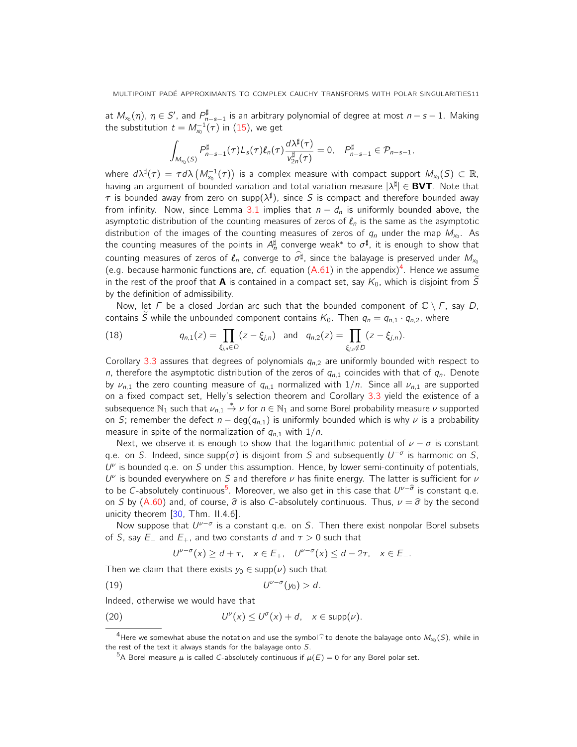at  $M_{x_0}(\eta)$ ,  $\eta\in S'$ , and  $P_{n-s-1}^\sharp$  is an arbitrary polynomial of degree at most  $n-s-1$ . Making the substitution  $t = M_{\mathsf{x}_0}^{-1}(\tau)$  in (15), we get

$$
\int_{M_{x_0}(S)} P_{n-s-1}^{\sharp}(\tau)L_s(\tau)\ell_n(\tau)\frac{d\lambda^{\sharp}(\tau)}{v_{2n}^{\sharp}(\tau)}=0, \quad P_{n-s-1}^{\sharp} \in \mathcal{P}_{n-s-1},
$$

where  $d\lambda^\sharp(\tau)=\tau d\lambda\left(M_{_{X_0}}^{-1}(\tau)\right)$  is a complex measure with compact support  $M_{_{X_0}}(S)\subset\mathbb R$ , having an argument of bounded variation and total variation measure  $|\lambda^{\sharp}| \in$  BVT. Note that  $\tau$  is bounded away from zero on supp $(\lambda^{\sharp})$ , since S is compact and therefore bounded away from infinity. Now, since Lemma 3.1 implies that  $n - d_n$  is uniformly bounded above, the asymptotic distribution of the counting measures of zeros of  $\ell_n$  is the same as the asymptotic distribution of the images of the counting measures of zeros of  $q_n$  under the map  $M_{x_0}$ . As the counting measures of the points in  $A_n^{\sharp}$  converge weak\* to  $\sigma^{\sharp}$ , it is enough to show that counting measures of zeros of  $\ell_n$  converge to  $\sigma^{\sharp}$ , since the balayage is preserved under  $M_{x_0}$ (e.g. because harmonic functions are, cf. equation  $(A.61)$  in the appendix)<sup>4</sup>. Hence we assume in the rest of the proof that **A** is contained in a compact set, say  $K_0$ , which is disjoint from  $\tilde{S}$ by the definition of admissibility.

Now, let  $\Gamma$  be a closed Jordan arc such that the bounded component of  $\mathbb{C} \setminus \Gamma$ , say D, contains  $\widetilde{S}$  while the unbounded component contains  $K_0$ . Then  $q_n = q_{n,1} \cdot q_{n,2}$ , where

(18) 
$$
q_{n,1}(z) = \prod_{\xi_{j,n} \in D} (z - \xi_{j,n}) \text{ and } q_{n,2}(z) = \prod_{\xi_{j,n} \notin D} (z - \xi_{j,n}).
$$

Corollary 3.3 assures that degrees of polynomials  $q_{n,2}$  are uniformly bounded with respect to n, therefore the asymptotic distribution of the zeros of  $q_{n,1}$  coincides with that of  $q_n$ . Denote by  $\nu_{n,1}$  the zero counting measure of  $q_{n,1}$  normalized with  $1/n$ . Since all  $\nu_{n,1}$  are supported on a fixed compact set, Helly's selection theorem and Corollary 3.3 yield the existence of a subsequence  $\mathbb{N}_1$  such that  $\nu_{n,1} \stackrel{*}{\to} \nu$  for  $n \in \mathbb{N}_1$  and some Borel probability measure  $\nu$  supported on S; remember the defect  $n - \deg(q_{n,1})$  is uniformly bounded which is why  $\nu$  is a probability measure in spite of the normalization of  $q_{n,1}$  with  $1/n$ .

Next, we observe it is enough to show that the logarithmic potential of  $\nu - \sigma$  is constant q.e. on S. Indeed, since supp( $\sigma$ ) is disjoint from S and subsequently  $U^{-\sigma}$  is harmonic on S,  $U^{\nu}$  is bounded q.e. on S under this assumption. Hence, by lower semi-continuity of potentials,  $U^{\nu}$  is bounded everywhere on S and therefore  $\nu$  has finite energy. The latter is sufficient for  $\nu$ to be C-absolutely continuous<sup>5</sup>. Moreover, we also get in this case that  $U^{\nu-\widehat{\sigma}}$  is constant q.e. on S by (A.60) and, of course,  $\hat{\sigma}$  is also C-absolutely continuous. Thus,  $\nu = \hat{\sigma}$  by the second unicity theorem [30, Thm. II.4.6].

Now suppose that  $U^{\nu-\sigma}$  is a constant q.e. on S. Then there exist nonpolar Borel subsets of S, say  $E_-\,$  and  $E_+$ , and two constants d and  $\tau > 0$  such that

$$
U^{\nu-\sigma}(x) \ge d+\tau, \quad x \in E_+, \quad U^{\nu-\sigma}(x) \le d-2\tau, \quad x \in E_-.
$$

Then we claim that there exists  $y_0 \in \text{supp}(\nu)$  such that

$$
(19) \t\t\t U^{\nu-\sigma}(y_0) > d.
$$

Indeed, otherwise we would have that

(20) 
$$
U^{\nu}(x) \leq U^{\sigma}(x) + d, \quad x \in \text{supp}(\nu).
$$

<sup>&</sup>lt;sup>4</sup>Here we somewhat abuse the notation and use the symbol  $\hat{\cdot}$  to denote the balayage onto  $M_{x_0}(S)$ , while in the rest of the text it always stands for the balayage onto S.

<sup>&</sup>lt;sup>5</sup>A Borel measure  $\mu$  is called C-absolutely continuous if  $\mu(E) = 0$  for any Borel polar set.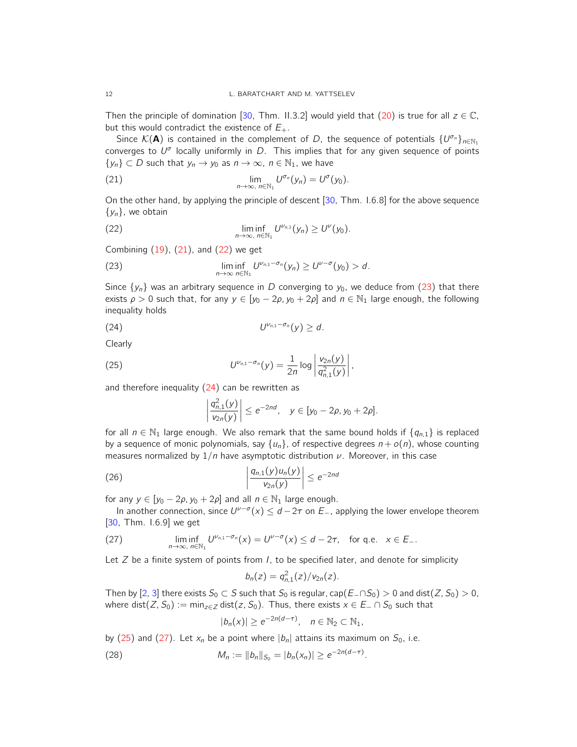Then the principle of domination [30, Thm. II.3.2] would yield that (20) is true for all  $z \in \mathbb{C}$ , but this would contradict the existence of  $E_{+}$ .

Since  $\mathcal{K}(\mathbf{A})$  is contained in the complement of D, the sequence of potentials  $\{U^{\sigma_n}\}_{n\in\mathbb{N}_1}$ converges to  $U^{\sigma}$  locally uniformly in D. This implies that for any given sequence of points  $\{y_n\} \subset D$  such that  $y_n \to y_0$  as  $n \to \infty$ ,  $n \in \mathbb{N}_1$ , we have

(21) 
$$
\lim_{n\to\infty, n\in\mathbb{N}_1} U^{\sigma_n}(y_n) = U^{\sigma}(y_0).
$$

On the other hand, by applying the principle of descent [30, Thm. I.6.8] for the above sequence  $\{y_n\}$ , we obtain

(22) 
$$
\liminf_{n\to\infty, n\in\mathbb{N}_1} U^{\nu_{n,1}}(y_n) \geq U^{\nu}(y_0).
$$

Combining  $(19)$ ,  $(21)$ , and  $(22)$  we get

(23) 
$$
\liminf_{n\to\infty}\frac{U^{\nu_{n,1}-\sigma_n}(y_n)}{\log N_1}(\frac{U^{\nu_{n,1}-\sigma_n}(y_n)}{U^{\nu_{n,1}-\sigma_n}(y_n)}\frac{U^{\nu_{n,1}-\sigma_n}(y_n)}{U^{\nu_{n,1}-\sigma_n}(y_n)}\frac{U^{\nu_{n,1}-\sigma_n}(y_n)}{U^{\nu_{n,1}-\sigma_n}(y_n)}.
$$

Since  $\{y_n\}$  was an arbitrary sequence in D converging to  $y_0$ , we deduce from (23) that there exists  $\rho > 0$  such that, for any  $y \in [y_0 - 2\rho, y_0 + 2\rho]$  and  $n \in \mathbb{N}_1$  large enough, the following inequality holds

$$
(24) \t\t\t U^{\nu_{n,1}-\sigma_n}(y) \geq d.
$$

Clearly

(25) 
$$
U^{\nu_{n,1}-\sigma_n}(y) = \frac{1}{2n} \log \left| \frac{v_{2n}(y)}{q_{n,1}^2(y)} \right|,
$$

and therefore inequality  $(24)$  can be rewritten as

$$
\left|\frac{q_{n,1}^2(y)}{v_{2n}(y)}\right| \le e^{-2nd}, \quad y \in [y_0 - 2\rho, y_0 + 2\rho].
$$

for all  $n \in \mathbb{N}_1$  large enough. We also remark that the same bound holds if  $\{q_{n,1}\}\$  is replaced by a sequence of monic polynomials, say  $\{u_n\}$ , of respective degrees  $n + o(n)$ , whose counting measures normalized by  $1/n$  have asymptotic distribution  $\nu$ . Moreover, in this case

(26) 
$$
\left|\frac{q_{n,1}(y)u_n(y)}{v_{2n}(y)}\right| \leq e^{-2nd}
$$

for any  $y \in [y_0 - 2\rho, y_0 + 2\rho]$  and all  $n \in \mathbb{N}_1$  large enough.

In another connection, since  $U^{\nu-\sigma}(x) \leq d-2\tau$  on  $E_{-}$ , applying the lower envelope theorem [30, Thm. I.6.9] we get

(27) 
$$
\liminf_{n\to\infty, n\in\mathbb{N}_1} U^{\nu_{n,1}-\sigma_n}(x) = U^{\nu-\sigma}(x) \leq d-2\tau, \text{ for q.e. } x \in E_-.
$$

Let  $Z$  be a finite system of points from  $I$ , to be specified later, and denote for simplicity

$$
b_n(z) = q_{n,1}^2(z)/v_{2n}(z).
$$

Then by [2, 3] there exists  $S_0 \subset S$  such that  $S_0$  is regular, cap(E\_∩S<sub>0</sub>) > 0 and dist(Z, S<sub>0</sub>) > 0, where dist(Z,  $S_0$ ) := min<sub>z∈Z</sub> dist(z,  $S_0$ ). Thus, there exists  $x \in E_-\cap S_0$  such that

$$
|b_n(x)| \ge e^{-2n(d-\tau)}, \quad n \in \mathbb{N}_2 \subset \mathbb{N}_1,
$$

by (25) and (27). Let  $x_n$  be a point where  $|b_n|$  attains its maximum on  $S_0$ , i.e.

(28) 
$$
M_n := ||b_n||_{S_0} = |b_n(x_n)| \ge e^{-2n(d-\tau)}.
$$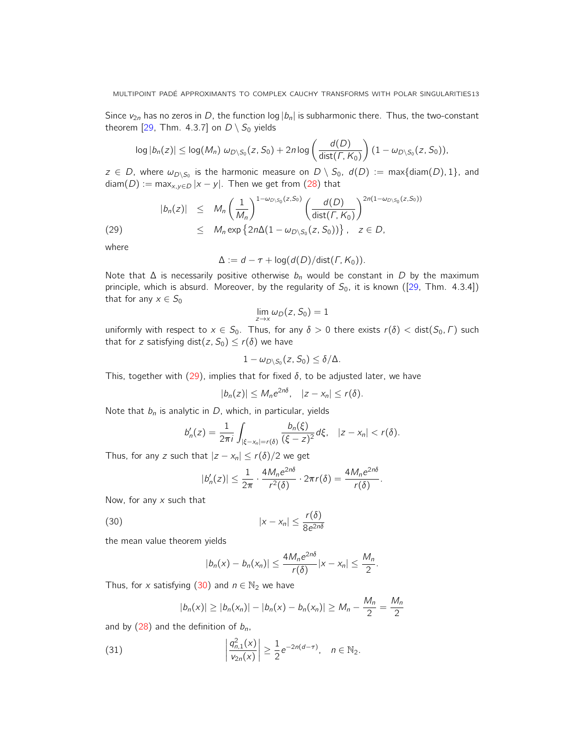Since  $v_{2n}$  has no zeros in D, the function log  $|b_n|$  is subharmonic there. Thus, the two-constant theorem [29, Thm. 4.3.7] on  $D \setminus S_0$  yields

$$
\log |b_n(z)| \leq \log(M_n) \omega_{D\setminus S_0}(z, S_0) + 2n \log \left( \frac{d(D)}{\text{dist}(\Gamma, K_0)} \right) (1 - \omega_{D\setminus S_0}(z, S_0)),
$$

 $z\, \in\, D$ , where  $\omega_{D\setminus S_0}$  is the harmonic measure on  $D\setminus S_0$ ,  $d(D)\,:=\,\max\{\text{diam}(D),1\},$  and  $diam(D) := max_{x,y \in D} |x - y|$ . Then we get from (28) that

$$
|b_n(z)| \leq M_n \left(\frac{1}{M_n}\right)^{1-\omega_{D\setminus S_0}(z,S_0)} \left(\frac{d(D)}{\text{dist}(\Gamma,K_0)}\right)^{2n(1-\omega_{D\setminus S_0}(z,S_0))}
$$
  
(29) 
$$
\leq M_n \exp\left\{2n\Delta(1-\omega_{D\setminus S_0}(z,S_0))\right\}, \quad z \in D,
$$

where

$$
\Delta := d - \tau + \log(d(D)/\text{dist}(\Gamma, K_0)).
$$

Note that  $\Delta$  is necessarily positive otherwise  $b_n$  would be constant in D by the maximum principle, which is absurd. Moreover, by the regularity of  $S_0$ , it is known ([29, Thm. 4.3.4]) that for any  $x \in S_0$ 

$$
\lim_{z\to x}\omega_D(z,S_0)=1
$$

uniformly with respect to  $x \in S_0$ . Thus, for any  $\delta > 0$  there exists  $r(\delta) < \text{dist}(S_0, \Gamma)$  such that for z satisfying dist(z,  $S_0$ )  $\leq r(\delta)$  we have

$$
1-\omega_{D\setminus S_0}(z,S_0)\leq \delta/\Delta.
$$

This, together with (29), implies that for fixed  $\delta$ , to be adjusted later, we have

$$
|b_n(z)| \leq M_n e^{2n\delta}, \quad |z-x_n| \leq r(\delta).
$$

Note that  $b_n$  is analytic in D, which, in particular, yields

$$
b'_{n}(z) = \frac{1}{2\pi i} \int_{|\xi - x_{n}| = r(\delta)} \frac{b_{n}(\xi)}{(\xi - z)^{2}} d\xi, \quad |z - x_{n}| < r(\delta).
$$

Thus, for any z such that  $|z - x_n| \le r(\delta)/2$  we get

$$
|b'_{n}(z)| \leq \frac{1}{2\pi} \cdot \frac{4M_{n}e^{2n\delta}}{r^{2}(\delta)} \cdot 2\pi r(\delta) = \frac{4M_{n}e^{2n\delta}}{r(\delta)}.
$$

Now, for any  $x$  such that

$$
|x - x_n| \le \frac{r(\delta)}{8e^{2n\delta}}
$$

the mean value theorem yields

$$
|b_n(x)-b_n(x_n)|\leq \frac{4M_ne^{2n\delta}}{r(\delta)}|x-x_n|\leq \frac{M_n}{2}.
$$

Thus, for x satisfying (30) and  $n \in \mathbb{N}_2$  we have

$$
|b_n(x)| \ge |b_n(x_n)| - |b_n(x) - b_n(x_n)| \ge M_n - \frac{M_n}{2} = \frac{M_n}{2}
$$

and by  $(28)$  and the definition of  $b_n$ ,

(31) 
$$
\left| \frac{q_{n,1}^2(x)}{v_{2n}(x)} \right| \geq \frac{1}{2} e^{-2n(d-\tau)}, \quad n \in \mathbb{N}_2.
$$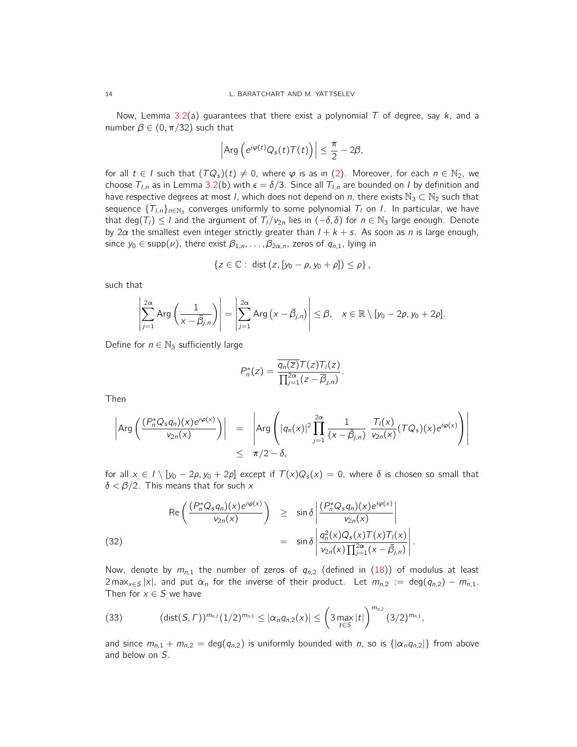Now, Lemma 3.2(a) guarantees that there exist a polynomial T of degree, say  $k$ , and a number  $\beta \in (0, \pi/32)$  such that

$$
\left|\text{Arg}\left(e^{i\varphi(t)}Q_s(t)\mathcal{T}(t)\right)\right|\leq \frac{\pi}{2}-2\beta,
$$

for all  $t \in I$  such that  $(TQ<sub>s</sub>)(t) \neq 0$ , where  $\varphi$  is as in (2). Moreover, for each  $n \in \mathbb{N}_2$ , we choose  $T_{l,n}$  as in Lemma 3.2(b) with  $\epsilon = \delta/3$ . Since all  $T_{l,n}$  are bounded on I by definition and have respective degrees at most *l*, which does not depend on *n*, there exists  $\mathbb{N}_3 \subset \mathbb{N}_2$  such that sequence  $\{T_{l,n}\}_{n\in\mathbb{N}_3}$  converges uniformly to some polynomial  $T_l$  on  $l.$  In particular, we have that deg(T<sub>i</sub>) ≤ l and the argument of  $T_1/v_{2n}$  lies in  $(-\delta, \delta)$  for  $n \in \mathbb{N}_3$  large enough. Denote by 2 $\alpha$  the smallest even integer strictly greater than  $l + k + s$ . As soon as n is large enough, since  $y_0 \in \text{supp}(\nu)$ , there exist  $\beta_{1,n}, \ldots, \beta_{2\alpha,n}$ , zeros of  $q_{n,1}$ , lying in

$$
\{z \in \mathbb{C} : \text{ dist}(z, [y_0 - \rho, y_0 + \rho]) \leq \rho\},\
$$

such that

$$
\left|\sum_{j=1}^{2\alpha} \text{Arg}\left(\frac{1}{x-\bar{\beta}_{j,n}}\right)\right| = \left|\sum_{j=1}^{2\alpha} \text{Arg}\left(x-\bar{\beta}_{j,n}\right)\right| \leq \beta, \quad x \in \mathbb{R} \setminus [y_0-2\rho, y_0+2\rho].
$$

Define for  $n \in \mathbb{N}_3$  sufficiently large

$$
P_n^*(z) = \frac{\overline{q_n(\overline{z})}T(z)T_l(z)}{\prod_{j=1}^{2\alpha}(z-\overline{\beta}_{j,n})}.
$$

Then

$$
\left|\operatorname{Arg}\left(\frac{(P_n^*Q_s q_n)(x)e^{i\varphi(x)}}{v_{2n}(x)}\right)\right| = \left|\operatorname{Arg}\left(|q_n(x)|^2\prod_{j=1}^{2\alpha}\frac{1}{(x-\overline{\beta}_{j,n})}\frac{T_j(x)}{v_{2n}(x)}(TQ_s)(x)e^{i\varphi(x)}\right)\right| \le \pi/2 - \delta,
$$

for all  $x \in I \setminus [y_0 - 2\rho, y_0 + 2\rho]$  except if  $T(x)Q_s(x) = 0$ , where  $\delta$  is chosen so small that  $\delta < \beta/2$ . This means that for such x

(32)  

$$
\operatorname{Re}\left(\frac{(P_n^*Q_s q_n)(x)e^{i\varphi(x)}}{v_{2n}(x)}\right) \geq \sin\delta \left|\frac{(P_n^*Q_s q_n)(x)e^{i\varphi(x)}}{v_{2n}(x)}\right|
$$

$$
= \sin\delta \left|\frac{q_n^2(x)Q_s(x)T(x)T_l(x)}{v_{2n}(x)\prod_{j=1}^{2\alpha}(x-\bar{\beta}_{j,n})}\right|.
$$

Now, denote by  $m_{n,1}$  the number of zeros of  $q_{n,2}$  (defined in (18)) of modulus at least 2 max<sub>x∈S</sub> |x|, and put  $\alpha_n$  for the inverse of their product. Let  $m_{n,2} := \deg(q_{n,2}) - m_{n,1}$ . Then for  $x \in S$  we have

(33) 
$$
(\text{dist}(S,\Gamma))^{m_{n,2}}(1/2)^{m_{n,1}} \leq |\alpha_n q_{n,2}(x)| \leq \left(3 \max_{t \in S} |t|\right)^{m_{n,2}}(3/2)^{m_{n,1}},
$$

and since  $m_{n,1} + m_{n,2} = \deg(q_{n,2})$  is uniformly bounded with n, so is  $\{| \alpha_n q_{n,2} | \}$  from above and below on S.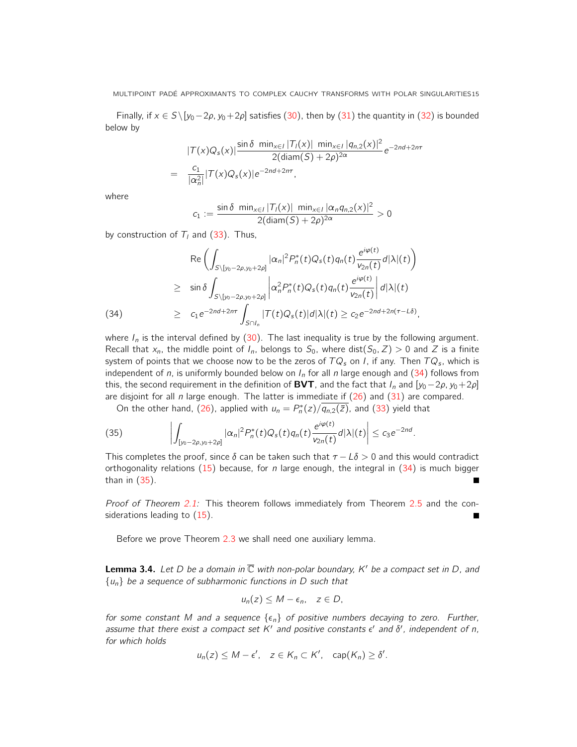Finally, if  $x \in S \setminus [y_0-2\rho, y_0+2\rho]$  satisfies (30), then by (31) the quantity in (32) is bounded below by

$$
|T(x)Q_{s}(x)| \frac{\sin \delta \min_{x \in I} |T_{l}(x)| \min_{x \in I} |q_{n,2}(x)|^{2}}{2(\text{diam}(S) + 2\rho)^{2\alpha}} e^{-2nd + 2n\tau}
$$
  
= 
$$
\frac{c_{1}}{|\alpha_{n}^{2}|} |T(x)Q_{s}(x)| e^{-2nd + 2n\tau},
$$

where

$$
c_1 := \frac{\sin \delta \ \min_{x \in I} |T_1(x)| \ \min_{x \in I} |\alpha_n q_{n,2}(x)|^2}{2(\text{diam}(S) + 2\rho)^{2\alpha}} > 0
$$

by construction of  $T_l$  and (33). Thus,

(34)  
\n
$$
\operatorname{Re}\left(\int_{S\backslash [y_0-2\rho,y_0+2\rho]}|\alpha_n|^2 P_n^*(t)Q_s(t)q_n(t)\frac{e^{i\varphi(t)}}{v_{2n}(t)}d|\lambda|(t)\right)
$$
\n
$$
\geq \sin\delta \int_{S\backslash [y_0-2\rho,y_0+2\rho]} \left|\alpha_n^2 P_n^*(t)Q_s(t)q_n(t)\frac{e^{i\varphi(t)}}{v_{2n}(t)}\right|d|\lambda|(t)
$$
\n
$$
\geq c_1 e^{-2nd+2n\tau} \int_{S\cap I_n} |T(t)Q_s(t)|d|\lambda|(t) \geq c_2 e^{-2nd+2n(\tau-L\delta)},
$$

where  $I_n$  is the interval defined by (30). The last inequality is true by the following argument. Recall that  $x_n$ , the middle point of  $I_n$ , belongs to  $S_0$ , where dist( $S_0$ , Z) > 0 and Z is a finite system of points that we choose now to be the zeros of  $TQ_{\pmb{s}}$  on I, if any. Then  $TQ_{\pmb{s}}$ , which is independent of n, is uniformly bounded below on  $I_n$  for all n large enough and (34) follows from this, the second requirement in the definition of BVT, and the fact that  $I_n$  and  $[y_0-2\rho, y_0+2\rho]$ are disjoint for all n large enough. The latter is immediate if  $(26)$  and  $(31)$  are compared.

On the other hand, (26), applied with  $u_n = P_n^*(z) / \overline{q_{n,2}(\bar{z})}$ , and (33) yield that

(35) 
$$
\left| \int_{[y_0-2\rho,y_0+2\rho]} |\alpha_n|^2 P_n^*(t) Q_s(t) q_n(t) \frac{e^{i\varphi(t)}}{v_{2n}(t)} d|\lambda|(t) \right| \leq c_3 e^{-2nd}.
$$

This completes the proof, since  $\delta$  can be taken such that  $\tau - L\delta > 0$  and this would contradict orthogonality relations (15) because, for *n* large enough, the integral in (34) is much bigger than in (35).  $\blacksquare$ 

Proof of Theorem 2.1: This theorem follows immediately from Theorem 2.5 and the considerations leading to  $(15)$ .

Before we prove Theorem 2.3 we shall need one auxiliary lemma.

**Lemma 3.4.** Let D be a domain in  $\overline{\mathbb{C}}$  with non-polar boundary, K' be a compact set in D, and  ${u_n}$  be a sequence of subharmonic functions in D such that

$$
u_n(z) \leq M - \epsilon_n, \quad z \in D,
$$

for some constant M and a sequence  $\{\epsilon_n\}$  of positive numbers decaying to zero. Further, assume that there exist a compact set K' and positive constants  $\epsilon'$  and  $\delta'$ , independent of n, for which holds

$$
u_n(z) \leq M - \epsilon', \quad z \in K_n \subset K', \quad \text{cap}(K_n) \geq \delta'.
$$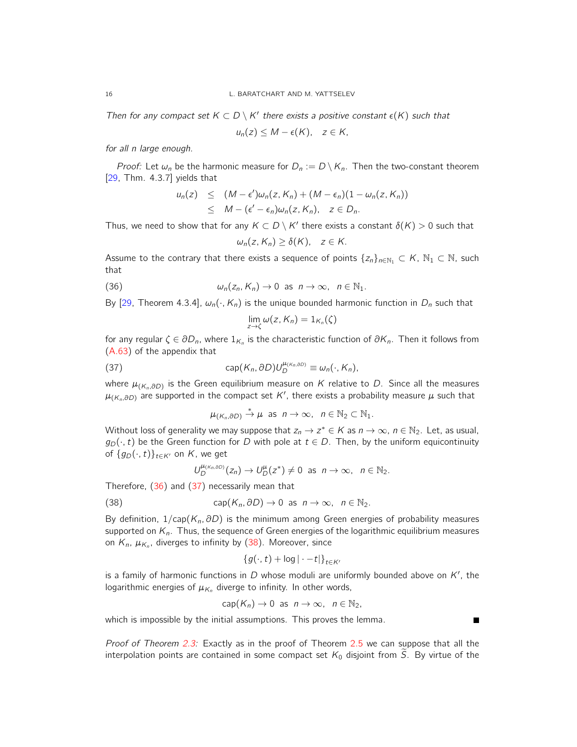Then for any compact set  $K \subset D \setminus K'$  there exists a positive constant  $\epsilon(K)$  such that

$$
u_n(z) \leq M - \epsilon(K), \quad z \in K,
$$

for all n large enough.

*Proof:* Let  $\omega_n$  be the harmonic measure for  $D_n := D \setminus K_n$ . Then the two-constant theorem [29, Thm. 4.3.7] yields that

$$
u_n(z) \leq (M - \epsilon')\omega_n(z, K_n) + (M - \epsilon_n)(1 - \omega_n(z, K_n))
$$
  
 
$$
\leq M - (\epsilon' - \epsilon_n)\omega_n(z, K_n), \quad z \in D_n.
$$

Thus, we need to show that for any  $K \subset D \setminus K'$  there exists a constant  $\delta(K) > 0$  such that

$$
\omega_n(z, K_n) \geq \delta(K), \quad z \in K.
$$

Assume to the contrary that there exists a sequence of points  $\{z_n\}_{n\in\mathbb{N}_1} \subset K$ ,  $\mathbb{N}_1 \subset \mathbb{N}$ , such that

(36) 
$$
\omega_n(z_n, K_n) \to 0 \text{ as } n \to \infty, n \in \mathbb{N}_1.
$$

By [29, Theorem 4.3.4],  $\omega_n(\cdot, K_n)$  is the unique bounded harmonic function in  $D_n$  such that

$$
\lim_{z\to\zeta}\omega(z,K_n)=1_{K_n}(\zeta)
$$

for any regular  $\zeta \in \partial D_n$ , where  $1_{K_n}$  is the characteristic function of  $\partial K_n$ . Then it follows from (A.63) of the appendix that

(37) 
$$
\operatorname{cap}(K_n, \partial D)U_D^{\mu_{(K_n, \partial D)}} \equiv \omega_n(\cdot, K_n),
$$

where  $\mu_{(K_n, \partial D)}$  is the Green equilibrium measure on  $K$  relative to  $D.$  Since all the measures  $\mu_{(K_n,\partial D)}$  are supported in the compact set  $K'$ , there exists a probability measure  $\mu$  such that

$$
\mu_{(K_n,\partial D)} \stackrel{*}{\to} \mu \text{ as } n \to \infty, \ \ n \in \mathbb{N}_2 \subset \mathbb{N}_1.
$$

Without loss of generality we may suppose that  $z_n \to z^* \in K$  as  $n \to \infty$ ,  $n \in \mathbb{N}_2$ . Let, as usual,  $g_D(\cdot, t)$  be the Green function for D with pole at  $t \in D$ . Then, by the uniform equicontinuity of  $\{g_D(\cdot, t)\}_{t\in K'}$  on K, we get

$$
U_D^{\mu_{(K_n,\partial D)}}(z_n)\to U_D^{\mu}(z^*)\neq 0 \text{ as } n\to\infty, \ \ n\in\mathbb{N}_2.
$$

Therefore,  $(36)$  and  $(37)$  necessarily mean that

(38) 
$$
\operatorname{cap}(K_n, \partial D) \to 0 \text{ as } n \to \infty, \ \ n \in \mathbb{N}_2.
$$

By definition,  $1/cap(K_n, \partial D)$  is the minimum among Green energies of probability measures supported on  $K_n$ . Thus, the sequence of Green energies of the logarithmic equilibrium measures on  $K_n$ ,  $\mu_{K_n}$ , diverges to infinity by (38). Moreover, since

$$
\{g(\cdot,t)+\log|\cdot-t|\}_{t\in K'}
$$

is a family of harmonic functions in  $D$  whose moduli are uniformly bounded above on  $K'$ , the logarithmic energies of  $\mu_{K_n}$  diverge to infinity. In other words,

$$
cap(K_n) \to 0 \text{ as } n \to \infty, \ n \in \mathbb{N}_2,
$$

Г

which is impossible by the initial assumptions. This proves the lemma.

Proof of Theorem 2.3: Exactly as in the proof of Theorem 2.5 we can suppose that all the interpolation points are contained in some compact set  $K_0$  disjoint from  $\widetilde{S}$ . By virtue of the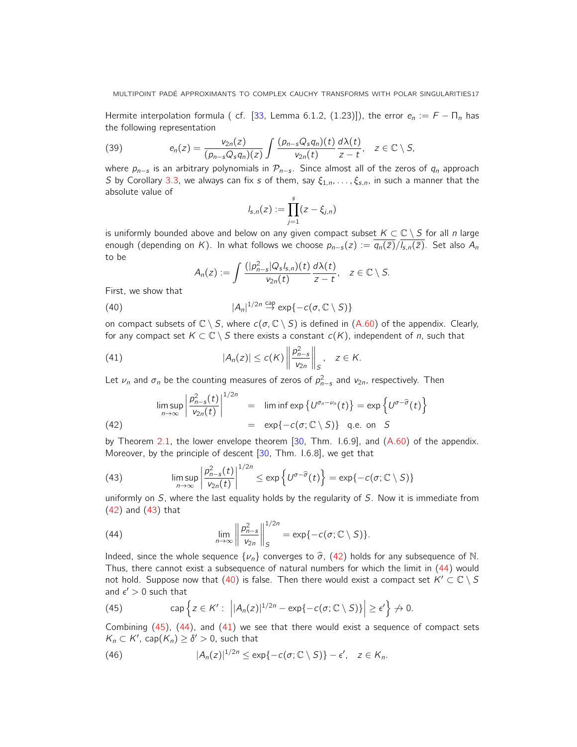Hermite interpolation formula ( cf. [33, Lemma 6.1.2, (1.23)]), the error  $e_n := F - \Pi_n$  has the following representation

(39) 
$$
e_n(z) = \frac{v_{2n}(z)}{(p_{n-s}Q_s q_n)(z)} \int \frac{(p_{n-s}Q_s q_n)(t)}{v_{2n}(t)} \frac{d\lambda(t)}{z-t}, \quad z \in \mathbb{C} \setminus S,
$$

where  $p_{n-s}$  is an arbitrary polynomials in  $\mathcal{P}_{n-s}$ . Since almost all of the zeros of  $q_n$  approach S by Corollary 3.3, we always can fix s of them, say  $\xi_{1,n}, \ldots, \xi_{s,n}$ , in such a manner that the absolute value of

$$
I_{s,n}(z) := \prod_{j=1}^s (z - \xi_{j,n})
$$

is uniformly bounded above and below on any given compact subset  $K \subset \mathbb{C} \setminus S$  for all n large enough (depending on K). In what follows we choose  $p_{n-s}(z) := \overline{q_n(\bar{z})/I_{s,n}(\bar{z})}$ . Set also  $A_n$ to be

$$
A_n(z) := \int \frac{(|p_{n-s}^2|Q_s|_{s,n})(t)}{v_{2n}(t)} \frac{d\lambda(t)}{z-t}, \quad z \in \mathbb{C} \setminus S.
$$

First, we show that

(40) 
$$
|A_n|^{1/2n} \overset{\text{cap}}{\to} \exp\{-c(\sigma, \mathbb{C} \setminus S)\}
$$

on compact subsets of  $\mathbb{C} \setminus S$ , where  $c(\sigma, \mathbb{C} \setminus S)$  is defined in (A.60) of the appendix. Clearly, for any compact set  $K \subset \mathbb{C} \setminus S$  there exists a constant  $c(K)$ , independent of *n*, such that

(41) 
$$
|A_n(z)| \le c(K) \left\| \frac{p_{n-s}^2}{v_{2n}} \right\|_S, \quad z \in K.
$$

Let  $\nu_n$  and  $\sigma_n$  be the counting measures of zeros of  $p_{n-s}^2$  and  $v_{2n}$ , respectively. Then

$$
\limsup_{n \to \infty} \left| \frac{p_{n-s}^2(t)}{v_{2n}(t)} \right|^{1/2n} = \liminf \exp \left\{ U^{\sigma_n - \nu_n}(t) \right\} = \exp \left\{ U^{\sigma - \widehat{\sigma}}(t) \right\}
$$
\n
$$
(42) = \exp \{-c(\sigma; \mathbb{C} \setminus S) \} \text{ q.e. on } S
$$

by Theorem 2.1, the lower envelope theorem [30, Thm. I.6.9], and (A.60) of the appendix. Moreover, by the principle of descent [30, Thm. 1.6.8], we get that

(43) 
$$
\limsup_{n\to\infty}\left|\frac{p_{n-s}^2(t)}{v_{2n}(t)}\right|^{1/2n}\leq \exp\left\{U^{\sigma-\widehat{\sigma}}(t)\right\}=\exp\{-c(\sigma;\mathbb{C}\setminus S)\}
$$

uniformly on  $S$ , where the last equality holds by the regularity of  $S$ . Now it is immediate from  $(42)$  and  $(43)$  that

(44) 
$$
\lim_{n \to \infty} \left\| \frac{p_{n-s}^2}{v_{2n}} \right\|_S^{1/2n} = \exp\{-c(\sigma; \mathbb{C} \setminus S)\}.
$$

Indeed, since the whole sequence  $\{\nu_n\}$  converges to  $\hat{\sigma}$ , (42) holds for any subsequence of N. Thus, there cannot exist a subsequence of natural numbers for which the limit in (44) would not hold. Suppose now that (40) is false. Then there would exist a compact set  $K' \subset \mathbb{C} \setminus S$ and  $\epsilon' > 0$  such that

(45) 
$$
\text{cap }\Big\{z\in \mathsf{K}' : \Big| |A_n(z)|^{1/2n} - \exp\{-c(\sigma;\mathbb{C}\setminus S)\}\Big| \geq \epsilon' \Big\} \nrightarrow 0.
$$

Combining (45), (44), and (41) we see that there would exist a sequence of compact sets  $K_n \subset K'$ , cap $(K_n) \geq \delta' > 0$ , such that

(46) 
$$
|A_n(z)|^{1/2n} \leq \exp\{-c(\sigma; \mathbb{C} \setminus S)\} - \epsilon', \quad z \in \mathcal{K}_n.
$$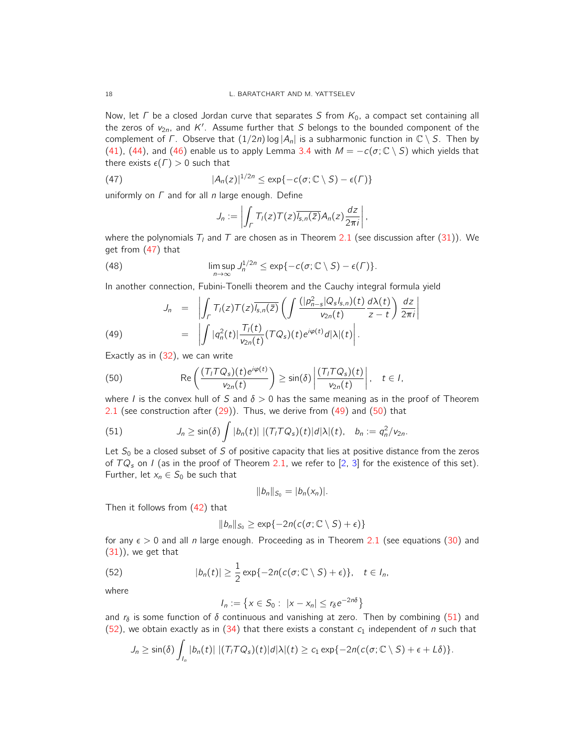Now, let  $\Gamma$  be a closed Jordan curve that separates S from  $K_0$ , a compact set containing all the zeros of  $v_{2n}$ , and K'. Assume further that S belongs to the bounded component of the complement of Γ. Observe that  $(1/2n)$  log  $|A_n|$  is a subharmonic function in  $\mathbb{C} \setminus S$ . Then by (41), (44), and (46) enable us to apply Lemma 3.4 with  $M = -c(\sigma; \mathbb{C} \setminus S)$  which yields that there exists  $\epsilon(\Gamma) > 0$  such that

(47) 
$$
|A_n(z)|^{1/2n} \leq \exp\{-c(\sigma; \mathbb{C} \setminus S) - \epsilon(\Gamma)\}
$$

uniformly on  $\Gamma$  and for all n large enough. Define

$$
J_n := \left| \int_{\Gamma} T_l(z) T(z) \overline{I_{s,n}(\bar{z})} A_n(z) \frac{dz}{2\pi i} \right|,
$$

where the polynomials  $T_l$  and  $T$  are chosen as in Theorem 2.1 (see discussion after (31)). We get from (47) that

(48) 
$$
\limsup_{n\to\infty} J_n^{1/2n} \leq \exp\{-c(\sigma; \mathbb{C} \setminus S) - \epsilon(\Gamma)\}.
$$

In another connection, Fubini-Tonelli theorem and the Cauchy integral formula yield

(49) 
$$
J_n = \left| \int_{\Gamma} T_l(z) T(z) \overline{J_{s,n}(\bar{z})} \left( \int \frac{(|p_{n-s}^2|Q_s|_{s,n})(t)}{v_{2n}(t)} \frac{d\lambda(t)}{z-t} \right) \frac{dz}{2\pi i} \right|
$$

$$
= \left| \int |q_n^2(t)| \frac{T_l(t)}{v_{2n}(t)} (TQ_s)(t) e^{i\varphi(t)} d|\lambda|(t) \right|.
$$

Exactly as in (32), we can write

(50) 
$$
\operatorname{Re}\left(\frac{(T_{I}TQ_{s})(t)e^{i\varphi(t)}}{v_{2n}(t)}\right) \geq \sin(\delta)\left|\frac{(T_{I}TQ_{s})(t)}{v_{2n}(t)}\right|, t \in I,
$$

where I is the convex hull of S and  $\delta > 0$  has the same meaning as in the proof of Theorem 2.1 (see construction after  $(29)$ ). Thus, we derive from  $(49)$  and  $(50)$  that

(51) 
$$
J_n \geq \sin(\delta) \int |b_n(t)| |(T_1 T Q_s)(t)| d|\lambda|(t), \quad b_n := q_n^2/v_{2n}.
$$

Let  $S_0$  be a closed subset of S of positive capacity that lies at positive distance from the zeros of  $TQ_s$  on I (as in the proof of Theorem 2.1, we refer to [2, 3] for the existence of this set). Further, let  $x_n \in S_0$  be such that

$$
||b_n||_{S_0}=|b_n(x_n)|.
$$

Then it follows from (42) that

$$
||b_n||_{S_0} \geq \exp\{-2n(c(\sigma; \mathbb{C} \setminus S) + \epsilon)\}
$$

for any  $\epsilon > 0$  and all n large enough. Proceeding as in Theorem 2.1 (see equations (30) and  $(31)$ , we get that

(52) 
$$
|b_n(t)| \geq \frac{1}{2} \exp\{-2n(c(\sigma; \mathbb{C} \setminus S) + \epsilon)\}, \quad t \in I_n,
$$

where

$$
I_n := \left\{ x \in S_0 : \ |x - x_n| \le r_\delta e^{-2n\delta} \right\}
$$

and  $r_{\delta}$  is some function of  $\delta$  continuous and vanishing at zero. Then by combining (51) and (52), we obtain exactly as in (34) that there exists a constant  $c_1$  independent of n such that

$$
J_n \geq \sin(\delta) \int_{I_n} |b_n(t)| \, |(T_1 T Q_s)(t)| d|\lambda|(t) \geq c_1 \exp\{-2n(c(\sigma; \mathbb{C} \setminus S) + \epsilon + L\delta)\}.
$$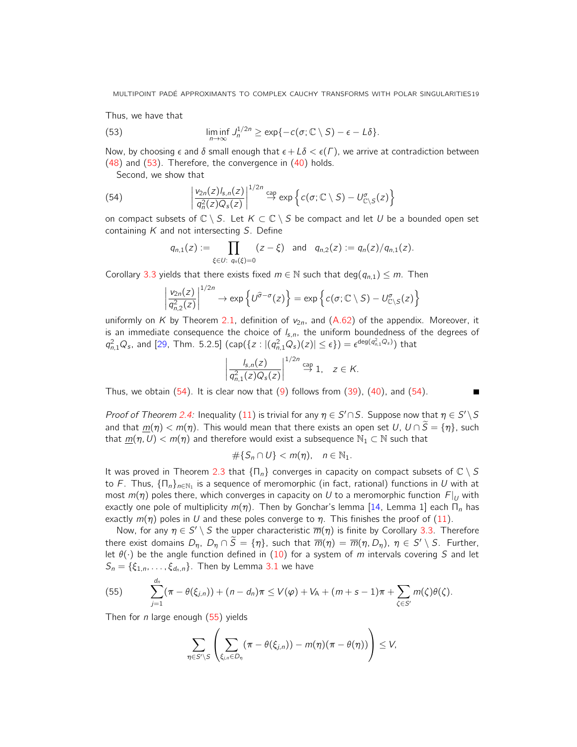Thus, we have that

(53) 
$$
\liminf_{n\to\infty} J_n^{1/2n} \geq \exp\{-c(\sigma; \mathbb{C} \setminus S) - \epsilon - L\delta\}.
$$

Now, by choosing  $\epsilon$  and  $\delta$  small enough that  $\epsilon + L\delta < \epsilon(\Gamma)$ , we arrive at contradiction between  $(48)$  and  $(53)$ . Therefore, the convergence in  $(40)$  holds.

Second, we show that

(54) 
$$
\left| \frac{v_{2n}(z)I_{s,n}(z)}{q_n^2(z)Q_s(z)} \right|^{1/2n} \stackrel{\text{cap}}{\to} \exp \left\{ c(\sigma; \mathbb{C} \setminus S) - U_{\mathbb{C} \setminus S}^{\sigma}(z) \right\}
$$

on compact subsets of  $\mathbb{C} \setminus S$ . Let  $K \subset \mathbb{C} \setminus S$  be compact and let U be a bounded open set containing  $K$  and not intersecting  $S$ . Define

$$
q_{n,1}(z) := \prod_{\xi \in U: \ q_n(\xi) = 0} (z - \xi) \quad \text{and} \quad q_{n,2}(z) := q_n(z)/q_{n,1}(z).
$$

Corollary 3.3 yields that there exists fixed  $m \in \mathbb{N}$  such that deg( $q_{n,1}$ )  $\leq m$ . Then

$$
\left|\frac{\nu_{2n}(z)}{q_{n,2}^2(z)}\right|^{1/2n} \to \exp\left\{U^{\widehat{\sigma}-\sigma}(z)\right\} = \exp\left\{c(\sigma; \mathbb{C} \setminus S) - U^{\sigma}_{\mathbb{C} \setminus S}(z)\right\}
$$

uniformly on K by Theorem 2.1, definition of  $v_{2n}$ , and (A.62) of the appendix. Moreover, it is an immediate consequence the choice of  $I_{s,n}$ , the uniform boundedness of the degrees of  $q_{n,1}^2 Q_s$ , and [29, Thm. 5.2.5]  $(\text{cap}(\{z: |(q_{n,1}^2 Q_s)(z)| \le \epsilon\}) = \epsilon^{\text{deg}(q_{n,1}^2 Q_s)})$  that

$$
\left|\frac{I_{s,n}(z)}{q_{n,1}^2(z)Q_s(z)}\right|^{1/2n} \stackrel{\text{cap}}{\to} 1, \quad z \in K.
$$

П

Thus, we obtain  $(54)$ . It is clear now that  $(9)$  follows from  $(39)$ ,  $(40)$ , and  $(54)$ .

Proof of Theorem 2.4: Inequality (11) is trivial for any  $\eta \in S' \cap S$ . Suppose now that  $\eta \in S' \setminus S$ and that  $m(\eta) < m(\eta)$ . This would mean that there exists an open set U,  $U \cap \tilde{S} = {\eta}$ , such that  $m(\eta, U) < m(\eta)$  and therefore would exist a subsequence  $\mathbb{N}_1 \subset \mathbb{N}$  such that

$$
\#\{S_n\cap U\} < m(\eta), \quad n\in\mathbb{N}_1.
$$

It was proved in Theorem 2.3 that  $\{\Pi_n\}$  converges in capacity on compact subsets of  $\mathbb{C} \setminus S$ to F. Thus,  $\{\mathsf{\Pi}_n\}_{n\in\mathbb{N}_1}$  is a sequence of meromorphic (in fact, rational) functions in  $U$  with at most  $m(\eta)$  poles there, which converges in capacity on U to a meromorphic function  $F|_U$  with exactly one pole of multiplicity  $m(\eta)$ . Then by Gonchar's lemma [14, Lemma 1] each  $\Pi_n$  has exactly  $m(\eta)$  poles in U and these poles converge to  $\eta$ . This finishes the proof of (11).

Now, for any  $\eta \in S' \setminus S$  the upper characteristic  $\overline{m}(\eta)$  is finite by Corollary 3.3. Therefore there exist domains  $D_{\eta}$ ,  $D_{\eta} \cap \widetilde{S} = {\eta}$ , such that  $\overline{m}(\eta) = \overline{m}(\eta, D_{\eta})$ ,  $\eta \in S' \setminus S$ . Further, let  $\theta(\cdot)$  be the angle function defined in (10) for a system of m intervals covering S and let  $S_n = \{\xi_{1,n}, \ldots, \xi_{d_n,n}\}.$  Then by Lemma 3.1 we have

(55) 
$$
\sum_{j=1}^{d_n} (\pi - \theta(\xi_{j,n})) + (n - d_n)\pi \le V(\varphi) + V_A + (m + s - 1)\pi + \sum_{\zeta \in S'} m(\zeta)\theta(\zeta).
$$

Then for *n* large enough  $(55)$  yields

$$
\sum_{\eta \in S' \setminus S} \left( \sum_{\xi_{j,n} \in D_{\eta}} (\pi - \theta(\xi_{j,n})) - m(\eta) (\pi - \theta(\eta)) \right) \leq V,
$$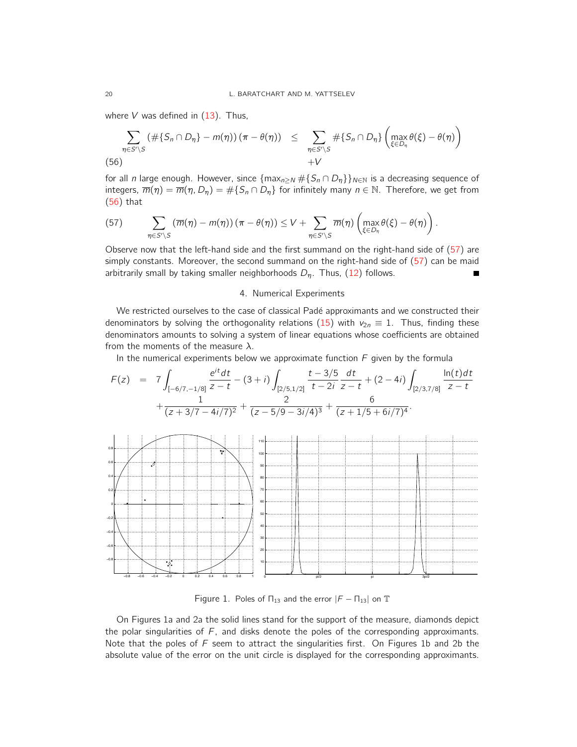where  $V$  was defined in  $(13)$ . Thus,

$$
\sum_{\eta \in S' \setminus S} (\# \{ S_n \cap D_\eta \} - m(\eta)) (\pi - \theta(\eta)) \leq \sum_{\eta \in S' \setminus S} \# \{ S_n \cap D_\eta \} \left( \max_{\xi \in D_\eta} \theta(\xi) - \theta(\eta) \right)
$$
\n(56)

for all n large enough. However, since  $\{max_{n> N} \# \{S_n \cap D_n\}\}_{n \in \mathbb{N}}$  is a decreasing sequence of integers,  $\overline{m}(\eta) = \overline{m}(\eta, D_{\eta}) = \#\{S_n \cap D_{\eta}\}\$  for infinitely many  $n \in \mathbb{N}$ . Therefore, we get from (56) that

(57) 
$$
\sum_{\eta \in S' \setminus S} (\overline{m}(\eta) - m(\eta)) (\pi - \theta(\eta)) \le V + \sum_{\eta \in S' \setminus S} \overline{m}(\eta) \left( \max_{\xi \in D_{\eta}} \theta(\xi) - \theta(\eta) \right).
$$

Observe now that the left-hand side and the first summand on the right-hand side of (57) are simply constants. Moreover, the second summand on the right-hand side of (57) can be maid arbitrarily small by taking smaller neighborhoods  $D_n$ . Thus, (12) follows.

#### 4. Numerical Experiments

We restricted ourselves to the case of classical Padé approximants and we constructed their denominators by solving the orthogonality relations (15) with  $v_{2n} \equiv 1$ . Thus, finding these denominators amounts to solving a system of linear equations whose coefficients are obtained from the moments of the measure  $\lambda$ .

In the numerical experiments below we approximate function  $F$  given by the formula

$$
F(z) = 7 \int_{[-6/7, -1/8]} \frac{e^{it} dt}{z - t} - (3 + i) \int_{[2/5, 1/2]} \frac{t - 3/5}{t - 2i} \frac{dt}{z - t} + (2 - 4i) \int_{[2/3, 7/8]} \frac{\ln(t) dt}{z - t} + \frac{1}{(z + 3/7 - 4i/7)^2} + \frac{2}{(z - 5/9 - 3i/4)^3} + \frac{6}{(z + 1/5 + 6i/7)^4}.
$$



Figure 1. Poles of  $\Pi_{13}$  and the error  $|F - \Pi_{13}|$  on  $\mathbb T$ 

On Figures 1a and 2a the solid lines stand for the support of the measure, diamonds depict the polar singularities of  $F$ , and disks denote the poles of the corresponding approximants. Note that the poles of  $F$  seem to attract the singularities first. On Figures 1b and 2b the absolute value of the error on the unit circle is displayed for the corresponding approximants.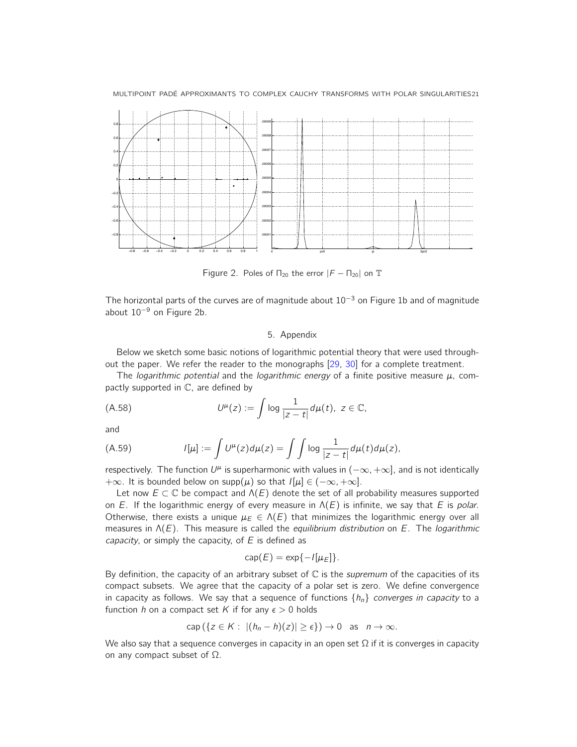



Figure 2. Poles of  $\Pi_{20}$  the error  $|F - \Pi_{20}|$  on  $\mathbb T$ 

The horizontal parts of the curves are of magnitude about  $10^{-3}$  on Figure 1b and of magnitude about 10<sup>−</sup><sup>9</sup> on Figure 2b.

#### 5. Appendix

Below we sketch some basic notions of logarithmic potential theory that were used throughout the paper. We refer the reader to the monographs [29, 30] for a complete treatment.

The *logarithmic potential* and the *logarithmic energy* of a finite positive measure  $\mu$ , compactly supported in C, are defined by

(A.58) 
$$
U^{\mu}(z) := \int \log \frac{1}{|z-t|} d\mu(t), \ z \in \mathbb{C},
$$

and

(A.59) 
$$
I[\mu] := \int U^{\mu}(z) d\mu(z) = \int \int \log \frac{1}{|z-t|} d\mu(t) d\mu(z),
$$

respectively. The function  $U^{\mu}$  is superharmonic with values in  $(-\infty, +\infty]$ , and is not identically  $+\infty$ . It is bounded below on supp( $\mu$ ) so that  $I[\mu] \in (-\infty, +\infty]$ .

Let now  $E \subset \mathbb{C}$  be compact and  $\Lambda(E)$  denote the set of all probability measures supported on E. If the logarithmic energy of every measure in  $\Lambda(E)$  is infinite, we say that E is polar. Otherwise, there exists a unique  $\mu_E \in \Lambda(E)$  that minimizes the logarithmic energy over all measures in  $\Lambda(E)$ . This measure is called the *equilibrium distribution* on E. The *logarithmic* capacity, or simply the capacity, of  $E$  is defined as

$$
\operatorname{cap}(E) = \exp\{-I[\mu_E]\}.
$$

By definition, the capacity of an arbitrary subset of  $\mathbb C$  is the *supremum* of the capacities of its compact subsets. We agree that the capacity of a polar set is zero. We define convergence in capacity as follows. We say that a sequence of functions  $\{h_n\}$  converges in capacity to a function h on a compact set K if for any  $\epsilon > 0$  holds

$$
\operatorname{cap} (\{ z \in K : |(h_n - h)(z)| \ge \epsilon \}) \to 0 \quad \text{as} \quad n \to \infty.
$$

We also say that a sequence converges in capacity in an open set  $\Omega$  if it is converges in capacity on any compact subset of  $\Omega$ .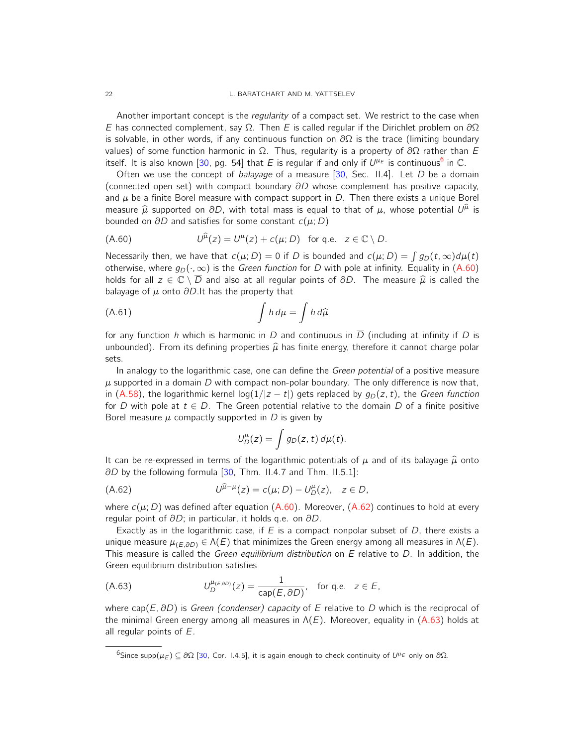22 L. BARATCHART AND M. YATTSELEV

Another important concept is the *regularity* of a compact set. We restrict to the case when E has connected complement, say  $\Omega$ . Then E is called regular if the Dirichlet problem on  $\partial\Omega$ is solvable, in other words, if any continuous function on  $\partial\Omega$  is the trace (limiting boundary values) of some function harmonic in  $Ω$ . Thus, regularity is a property of  $\partial Ω$  rather than E itself. It is also known [30, pg. 54] that E is regular if and only if  $U^{\mu_{\cal E}}$  is continuous<sup>6</sup> in C.

Often we use the concept of balayage of a measure  $[30,$  Sec. II.4]. Let D be a domain (connected open set) with compact boundary  $\partial D$  whose complement has positive capacity, and  $\mu$  be a finite Borel measure with compact support in D. Then there exists a unique Borel measure  $\hat{\mu}$  supported on  $\partial D$ , with total mass is equal to that of  $\mu$ , whose potential  $U^{\hat{\mu}}$  is bounded on  $\partial D$  and estistics for some constant  $\rho(\mu, D)$ bounded on  $\partial D$  and satisfies for some constant  $c(\mu; D)$ 

(A.60) 
$$
U^{\hat{\mu}}(z) = U^{\mu}(z) + c(\mu; D) \text{ for q.e. } z \in \mathbb{C} \setminus D.
$$

Necessarily then, we have that  $c(\mu; D) = 0$  if D is bounded and  $c(\mu; D) = \int g_D(t, \infty) d\mu(t)$ otherwise, where  $g_D(\cdot, \infty)$  is the *Green function* for D with pole at infinity. Equality in (A.60) holds for all  $z \in \mathbb{C} \setminus \overline{D}$  and also at all regular points of  $\partial D$ . The measure  $\hat{\mu}$  is called the balayage of  $\mu$  onto  $\partial D$ . It has the property that

(A.61) 
$$
\int h d\mu = \int h d\widehat{\mu}
$$

for any function h which is harmonic in D and continuous in  $\overline{D}$  (including at infinity if D is unbounded). From its defining properties  $\hat{\mu}$  has finite energy, therefore it cannot charge polar sets.

In analogy to the logarithmic case, one can define the *Green potential* of a positive measure  $\mu$  supported in a domain D with compact non-polar boundary. The only difference is now that, in (A.58), the logarithmic kernel log( $1/|z - t|$ ) gets replaced by  $g_D(z, t)$ , the Green function for D with pole at  $t \in D$ . The Green potential relative to the domain D of a finite positive Borel measure  $\mu$  compactly supported in D is given by

$$
U_D^{\mu}(z) = \int g_D(z, t) d\mu(t).
$$

It can be re-expressed in terms of the logarithmic potentials of  $\mu$  and of its balayage  $\hat{\mu}$  onto ∂D by the following formula [30, Thm. II.4.7 and Thm. II.5.1]:

(A.62) 
$$
U^{\hat{\mu}-\mu}(z) = c(\mu; D) - U^{\mu}_D(z), \quad z \in D,
$$

where  $c(\mu; D)$  was defined after equation (A.60). Moreover, (A.62) continues to hold at every regular point of ∂D; in particular, it holds q.e. on ∂D.

Exactly as in the logarithmic case, if  $E$  is a compact nonpolar subset of  $D$ , there exists a unique measure  $\mu_{(E,\partial D)} \in \Lambda(E)$  that minimizes the Green energy among all measures in  $\Lambda(E)$ . This measure is called the Green equilibrium distribution on  $E$  relative to  $D$ . In addition, the Green equilibrium distribution satisfies

(A.63) 
$$
U_D^{\mu_{(E,\partial D)}}(z) = \frac{1}{\text{cap}(E,\partial D)}, \text{ for q.e. } z \in E,
$$

where cap( $E$ ,  $\partial D$ ) is Green (condenser) capacity of E relative to D which is the reciprocal of the minimal Green energy among all measures in  $\Lambda(E)$ . Moreover, equality in (A.63) holds at all regular points of  $E$ .

 $^6$ Since supp $(\mu_E)\subseteq$  ∂Ω [30, Cor. 1.4.5], it is again enough to check continuity of  $U^{\mu_E}$  only on ∂Ω.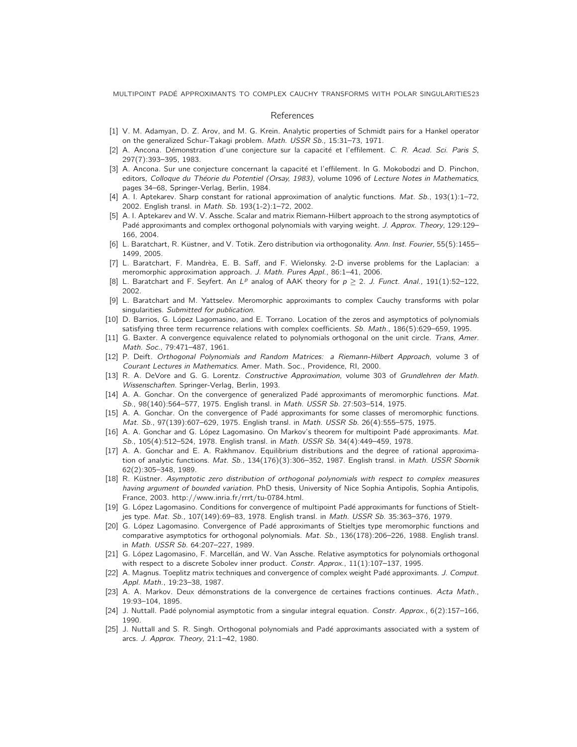MULTIPOINT PADE APPROXIMANTS TO COMPLEX CAUCHY TRANSFORMS WITH POLAR SINGULARITIES23 ´

#### References

- [1] V. M. Adamyan, D. Z. Arov, and M. G. Krein. Analytic properties of Schmidt pairs for a Hankel operator on the generalized Schur-Takagi problem. Math. USSR Sb., 15:31–73, 1971.
- [2] A. Ancona. Démonstration d'une conjecture sur la capacité et l'effilement. C. R. Acad. Sci. Paris S, 297(7):393–395, 1983.
- [3] A. Ancona. Sur une conjecture concernant la capacité et l'effilement. In G. Mokobodzi and D. Pinchon, editors, Colloque du Théorie du Potentiel (Orsay, 1983), volume 1096 of Lecture Notes in Mathematics, pages 34–68, Springer-Verlag, Berlin, 1984.
- [4] A. I. Aptekarev. Sharp constant for rational approximation of analytic functions. Mat. Sb., 193(1):1–72, 2002. English transl. in Math. Sb. 193(1-2):1–72, 2002.
- [5] A. I. Aptekarev and W. V. Assche. Scalar and matrix Riemann-Hilbert approach to the strong asymptotics of Padé approximants and complex orthogonal polynomials with varying weight. J. Approx. Theory, 129:129– 166, 2004.
- [6] L. Baratchart, R. Küstner, and V. Totik. Zero distribution via orthogonality. Ann. Inst. Fourier, 55(5):1455– 1499, 2005.
- [7] L. Baratchart, F. Mandrèa, E. B. Saff, and F. Wielonsky. 2-D inverse problems for the Laplacian: a meromorphic approximation approach. J. Math. Pures Appl., 86:1–41, 2006.
- [8] L. Baratchart and F. Seyfert. An  $L^p$  analog of AAK theory for  $p \ge 2$ . J. Funct. Anal., 191(1):52-122, 2002.
- [9] L. Baratchart and M. Yattselev. Meromorphic approximants to complex Cauchy transforms with polar singularities. Submitted for publication.
- [10] D. Barrios, G. López Lagomasino, and E. Torrano. Location of the zeros and asymptotics of polynomials satisfying three term recurrence relations with complex coefficients. Sb. Math., 186(5):629–659, 1995.
- [11] G. Baxter. A convergence equivalence related to polynomials orthogonal on the unit circle. Trans, Amer. Math. Soc., 79:471–487, 1961.
- [12] P. Deift. Orthogonal Polynomials and Random Matrices: a Riemann-Hilbert Approach, volume 3 of Courant Lectures in Mathematics. Amer. Math. Soc., Providence, RI, 2000.
- [13] R. A. DeVore and G. G. Lorentz. Constructive Approximation, volume 303 of Grundlehren der Math. Wissenschaften. Springer-Verlag, Berlin, 1993.
- [14] A. A. Gonchar. On the convergence of generalized Padé approximants of meromorphic functions. Mat. Sb., 98(140):564–577, 1975. English transl. in Math. USSR Sb. 27:503–514, 1975.
- [15] A. A. Gonchar. On the convergence of Padé approximants for some classes of meromorphic functions. Mat. Sb., 97(139):607–629, 1975. English transl. in Math. USSR Sb. 26(4):555–575, 1975.
- [16] A. A. Gonchar and G. López Lagomasino. On Markov's theorem for multipoint Padé approximants. Mat. Sb., 105(4):512–524, 1978. English transl. in Math. USSR Sb. 34(4):449–459, 1978.
- [17] A. A. Gonchar and E. A. Rakhmanov. Equilibrium distributions and the degree of rational approximation of analytic functions. Mat. Sb., 134(176)(3):306-352, 1987. English transl. in Math. USSR Sbornik 62(2):305–348, 1989.
- [18] R. Küstner. Asymptotic zero distribution of orthogonal polynomials with respect to complex measures having argument of bounded variation. PhD thesis, University of Nice Sophia Antipolis, Sophia Antipolis, France, 2003. http://www.inria.fr/rrrt/tu-0784.html.
- [19] G. López Lagomasino. Conditions for convergence of multipoint Padé approximants for functions of Stieltjes type. Mat. Sb., 107(149):69–83, 1978. English transl. in Math. USSR Sb. 35:363–376, 1979.
- [20] G. López Lagomasino. Convergence of Padé approximants of Stieltjes type meromorphic functions and comparative asymptotics for orthogonal polynomials. Mat. Sb., 136(178):206–226, 1988. English transl. in Math. USSR Sb. 64:207–227, 1989.
- [21] G. López Lagomasino, F. Marcellán, and W. Van Assche. Relative asymptotics for polynomials orthogonal with respect to a discrete Sobolev inner product. Constr. Approx., 11(1):107-137, 1995.
- [22] A. Magnus. Toeplitz matrix techniques and convergence of complex weight Padé approximants. J. Comput. Appl. Math., 19:23–38, 1987.
- [23] A. A. Markov. Deux démonstrations de la convergence de certaines fractions continues. Acta Math., 19:93–104, 1895.
- [24] J. Nuttall. Padé polynomial asymptotic from a singular integral equation. Constr. Approx., 6(2):157-166, 1990.
- [25] J. Nuttall and S. R. Singh. Orthogonal polynomials and Padé approximants associated with a system of arcs. J. Approx. Theory, 21:1–42, 1980.